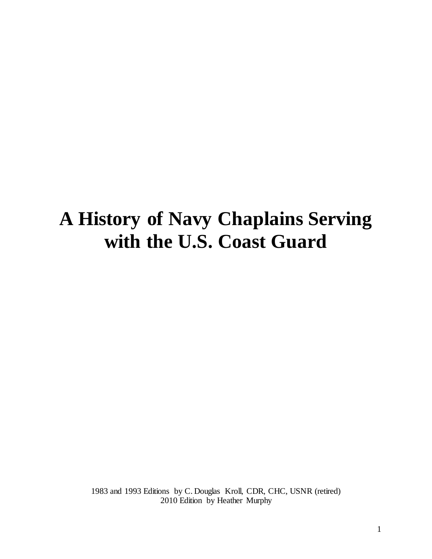# **A History of Navy Chaplains Serving with the U.S. Coast Guard**

1983 and 1993 Editions by C. Douglas Kroll, CDR, CHC, USNR (retired) 2010 Edition by Heather Murphy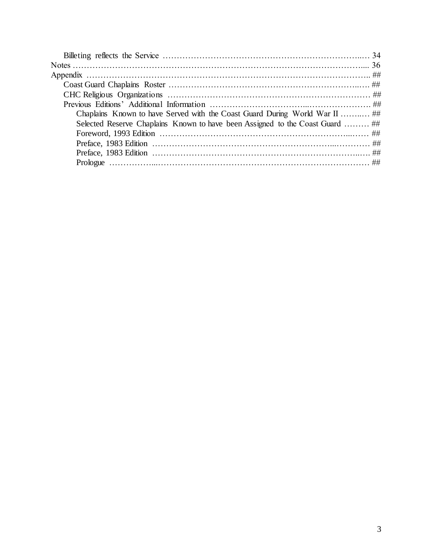| Chaplains Known to have Served with the Coast Guard During World War II  ##   |  |
|-------------------------------------------------------------------------------|--|
| Selected Reserve Chaplains Known to have been Assigned to the Coast Guard  ## |  |
|                                                                               |  |
|                                                                               |  |
|                                                                               |  |
|                                                                               |  |
|                                                                               |  |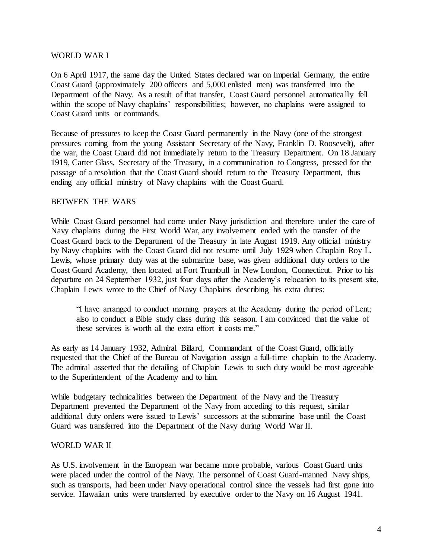#### WORLD WAR I

On 6 April 1917, the same day the United States declared war on Imperial Germany, the entire Coast Guard (approximately 200 officers and 5,000 enlisted men) was transferred into the Department of the Navy. As a result of that transfer, Coast Guard personnel automatica lly fell within the scope of Navy chaplains' responsibilities; however, no chaplains were assigned to Coast Guard units or commands.

Because of pressures to keep the Coast Guard permanently in the Navy (one of the strongest pressures coming from the young Assistant Secretary of the Navy, Franklin D. Roosevelt), after the war, the Coast Guard did not immediately return to the Treasury Department. On 18 January 1919, Carter Glass, Secretary of the Treasury, in a communication to Congress, pressed for the passage of a resolution that the Coast Guard should return to the Treasury Department, thus ending any official ministry of Navy chaplains with the Coast Guard.

## BETWEEN THE WARS

While Coast Guard personnel had come under Navy jurisdiction and therefore under the care of Navy chaplains during the First World War, any involvement ended with the transfer of the Coast Guard back to the Department of the Treasury in late August 1919. Any official ministry by Navy chaplains with the Coast Guard did not resume until July 1929 when Chaplain Roy L. Lewis, whose primary duty was at the submarine base, was given additional duty orders to the Coast Guard Academy, then located at Fort Trumbull in New London, Connecticut. Prior to his departure on 24 September 1932, just four days after the Academy's relocation to its present site, Chaplain Lewis wrote to the Chief of Navy Chaplains describing his extra duties:

"I have arranged to conduct morning prayers at the Academy during the period of Lent; also to conduct a Bible study class during this season. I am convinced that the value of these services is worth all the extra effort it costs me."

As early as 14 January 1932, Admiral Billard, Commandant of the Coast Guard, officially requested that the Chief of the Bureau of Navigation assign a full-time chaplain to the Academy. The admiral asserted that the detailing of Chaplain Lewis to such duty would be most agreeable to the Superintendent of the Academy and to him.

While budgetary technicalities between the Department of the Navy and the Treasury Department prevented the Department of the Navy from acceding to this request, similar additional duty orders were issued to Lewis' successors at the submarine base until the Coast Guard was transferred into the Department of the Navy during World War II.

#### WORLD WAR II

As U.S. involvement in the European war became more probable, various Coast Guard units were placed under the control of the Navy. The personnel of Coast Guard-manned Navy ships, such as transports, had been under Navy operational control since the vessels had first gone into service. Hawaiian units were transferred by executive order to the Navy on 16 August 1941.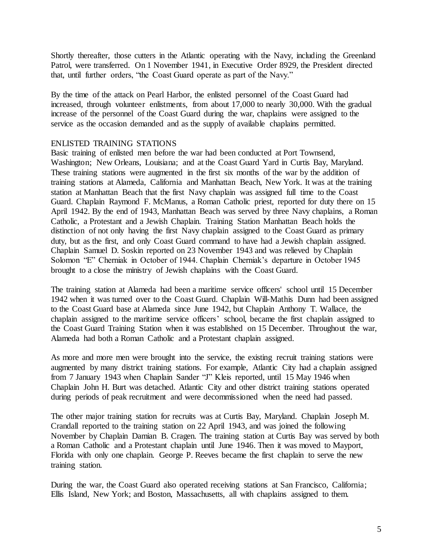Shortly thereafter, those cutters in the Atlantic operating with the Navy, including the Greenland Patrol, were transferred. On 1 November 1941, in Executive Order 8929, the President directed that, until further orders, "the Coast Guard operate as part of the Navy."

By the time of the attack on Pearl Harbor, the enlisted personnel of the Coast Guard had increased, through volunteer enlistments, from about 17,000 to nearly 30,000. With the gradual increase of the personnel of the Coast Guard during the war, chaplains were assigned to the service as the occasion demanded and as the supply of available chaplains permitted.

## ENLISTED TRAINING STATIONS

Basic training of enlisted men before the war had been conducted at Port Townsend, Washington; New Orleans, Louisiana; and at the Coast Guard Yard in Curtis Bay, Maryland. These training stations were augmented in the first six months of the war by the addition of training stations at Alameda, California and Manhattan Beach, New York. It was at the training station at Manhattan Beach that the first Navy chaplain was assigned full time to the Coast Guard. Chaplain Raymond F. McManus, a Roman Catholic priest, reported for duty there on 15 April 1942. By the end of 1943, Manhattan Beach was served by three Navy chaplains, a Roman Catholic, a Protestant and a Jewish Chaplain. Training Station Manhattan Beach holds the distinction of not only having the first Navy chaplain assigned to the Coast Guard as primary duty, but as the first, and only Coast Guard command to have had a Jewish chaplain assigned. Chaplain Samuel D. Soskin reported on 23 November 1943 and was relieved by Chaplain Solomon "E" Cherniak in October of 1944. Chaplain Cherniak's departure in October 1945 brought to a close the ministry of Jewish chaplains with the Coast Guard.

The training station at Alameda had been a maritime service officers' school until 15 December 1942 when it was turned over to the Coast Guard. Chaplain Will-Mathis Dunn had been assigned to the Coast Guard base at Alameda since June 1942, but Chaplain Anthony T. Wallace, the chaplain assigned to the maritime service officers' school, became the first chaplain assigned to the Coast Guard Training Station when it was established on 15 December. Throughout the war, Alameda had both a Roman Catholic and a Protestant chaplain assigned.

As more and more men were brought into the service, the existing recruit training stations were augmented by many district training stations. For example, Atlantic City had a chaplain assigned from 7 January 1943 when Chaplain Sander "J" Kleis reported, until 15 May 1946 when Chaplain John H. Burt was detached. Atlantic City and other district training stations operated during periods of peak recruitment and were decommissioned when the need had passed.

The other major training station for recruits was at Curtis Bay, Maryland. Chaplain Joseph M. Crandall reported to the training station on 22 April 1943, and was joined the following November by Chaplain Damian B. Cragen. The training station at Curtis Bay was served by both a Roman Catholic and a Protestant chaplain until June 1946. Then it was moved to Mayport, Florida with only one chaplain. George P. Reeves became the first chaplain to serve the new training station.

During the war, the Coast Guard also operated receiving stations at San Francisco, California; Ellis Island, New York; and Boston, Massachusetts, all with chaplains assigned to them.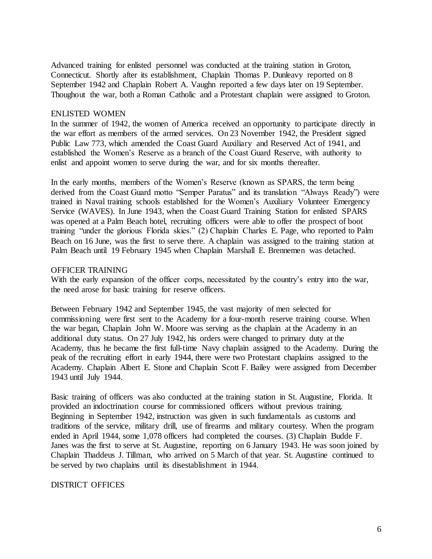Advanced training for enlisted personnel was conducted at the training station in Groton, Connecticut. Shortly after its establishment, Chaplain Thomas P. Dunleavy reported on 8 September 1942 and Chaplain Robert A. Vaughn reported a few days later on 19 September. Thoughout the war, both a Roman Catholic and a Protestant chaplain were assigned to Groton.

#### ENLISTED WOMEN

In the summer of 1942, the women of America received an opportunity to participate directly in the war effort as members of the armed services. On 23 November 1942, the President signed Public Law 773, which amended the Coast Guard Auxiliary and Reserved Act of 1941, and established the Women's Reserve as a branch of the Coast Guard Reserve, with authority to enlist and appoint women to serve during the war, and for six months thereafter.

In the early months, members of the Women's Reserve (known as SPARS, the term being derived from the Coast Guard motto "Semper Paratus" and its translation "Always Ready") were trained in Naval training schools established for the Women's Auxiliary Volunteer Emergency Service (WAVES). In June 1943, when the Coast Guard Training Station for enlisted SPARS was opened at a Palm Beach hotel, recruiting officers were able to offer the prospect of boot training "under the glorious Florida skies." (2) Chaplain Charles E. Page, who reported to Palm Beach on 16 June, was the first to serve there. A chaplain was assigned to the training station at Palm Beach until 19 February 1945 when Chaplain Marshall E. Brennemen was detached.

#### OFFICER TRAINING

With the early expansion of the officer corps, necessitated by the country's entry into the war, the need arose for basic training for reserve officers.

Between February 1942 and September 1945, the vast majority of men selected for commissioning were first sent to the Academy for a four-month reserve training course. When the war began, Chaplain John W. Moore was serving as the chaplain at the Academy in an additional duty status. On 27 July 1942, his orders were changed to primary duty at the Academy, thus he became the first full-time Navy chaplain assigned to the Academy. During the peak of the recruiting effort in early 1944, there were two Protestant chaplains assigned to the Academy. Chaplain Albert E. Stone and Chaplain Scott F. Bailey were assigned from December 1943 until July 1944.

Basic training of officers was also conducted at the training station in St. Augustine, Florida. It provided an indoctrination course for commissioned officers without previous training. Beginning in September 1942, instruction was given in such fundamentals as customs and traditions of the service, military drill, use of firearms and military courtesy. When the program ended in April 1944, some 1,078 officers had completed the courses. (3) Chaplain Budde F. Janes was the first to serve at St. Augustine, reporting on 6 January 1943. He was soon joined by Chaplain Thaddeus J. Tillman, who arrived on 5 March of that year. St. Augustine continued to be served by two chaplains until its disestablishment in 1944.

#### DISTRICT OFFICES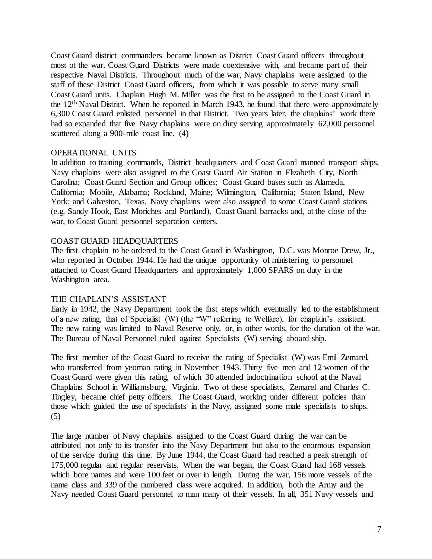Coast Guard district commanders became known as District Coast Guard officers throughout most of the war. Coast Guard Districts were made coextensive with, and became part of, their respective Naval Districts. Throughout much of the war, Navy chaplains were assigned to the staff of these District Coast Guard officers, from which it was possible to serve many small Coast Guard units. Chaplain Hugh M. Miller was the first to be assigned to the Coast Guard in the 12th Naval District. When he reported in March 1943, he found that there were approximately 6,300 Coast Guard enlisted personnel in that District. Two years later, the chaplains' work there had so expanded that five Navy chaplains were on duty serving approximately 62,000 personnel scattered along a 900-mile coast line. (4)

## OPERATIONAL UNITS

In addition to training commands, District headquarters and Coast Guard manned transport ships, Navy chaplains were also assigned to the Coast Guard Air Station in Elizabeth City, North Carolina; Coast Guard Section and Group offices; Coast Guard bases such as Alameda, California; Mobile, Alabama; Rockland, Maine; Wilmington, California; Staten Island, New York; and Galveston, Texas. Navy chaplains were also assigned to some Coast Guard stations (e.g. Sandy Hook, East Moriches and Portland), Coast Guard barracks and, at the close of the war, to Coast Guard personnel separation centers.

## COAST GUARD HEADQUARTERS

The first chaplain to be ordered to the Coast Guard in Washington, D.C. was Monroe Drew, Jr., who reported in October 1944. He had the unique opportunity of ministering to personnel attached to Coast Guard Headquarters and approximately 1,000 SPARS on duty in the Washington area.

#### THE CHAPLAIN'S ASSISTANT

Early in 1942, the Navy Department took the first steps which eventually led to the establishment of a new rating, that of Specialist (W) (the "W" referring to Welfare), for chaplain's assistant. The new rating was limited to Naval Reserve only, or, in other words, for the duration of the war. The Bureau of Naval Personnel ruled against Specialists (W) serving aboard ship.

The first member of the Coast Guard to receive the rating of Specialist (W) was Emil Zemarel, who transferred from yeoman rating in November 1943. Thirty five men and 12 women of the Coast Guard were given this rating, of which 30 attended indoctrination school at the Naval Chaplains School in Williamsburg, Virginia. Two of these specialists, Zemarel and Charles C. Tingley, became chief petty officers. The Coast Guard, working under different policies than those which guided the use of specialists in the Navy, assigned some male specialists to ships. (5)

The large number of Navy chaplains assigned to the Coast Guard during the war can be attributed not only to its transfer into the Navy Department but also to the enormous expansion of the service during this time. By June 1944, the Coast Guard had reached a peak strength of 175,000 regular and regular reservists. When the war began, the Coast Guard had 168 vessels which bore names and were 100 feet or over in length. During the war, 156 more vessels of the name class and 339 of the numbered class were acquired. In addition, both the Army and the Navy needed Coast Guard personnel to man many of their vessels. In all, 351 Navy vessels and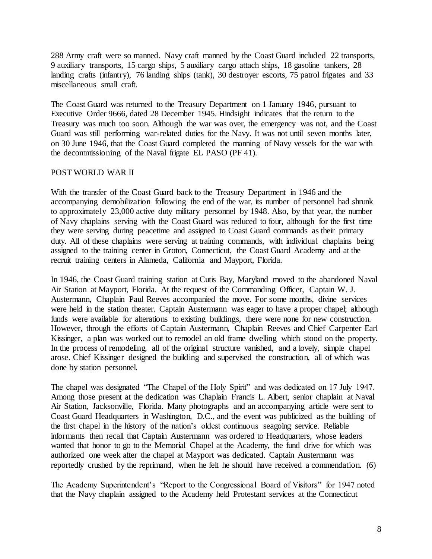288 Army craft were so manned. Navy craft manned by the Coast Guard included 22 transports, 9 auxiliary transports, 15 cargo ships, 5 auxiliary cargo attach ships, 18 gasoline tankers, 28 landing crafts (infantry), 76 landing ships (tank), 30 destroyer escorts, 75 patrol frigates and 33 miscellaneous small craft.

The Coast Guard was returned to the Treasury Department on 1 January 1946, pursuant to Executive Order 9666, dated 28 December 1945. Hindsight indicates that the return to the Treasury was much too soon. Although the war was over, the emergency was not, and the Coast Guard was still performing war-related duties for the Navy. It was not until seven months later, on 30 June 1946, that the Coast Guard completed the manning of Navy vessels for the war with the decommissioning of the Naval frigate EL PASO (PF 41).

# POST WORLD WAR II

With the transfer of the Coast Guard back to the Treasury Department in 1946 and the accompanying demobilization following the end of the war, its number of personnel had shrunk to approximately 23,000 active duty military personnel by 1948. Also, by that year, the number of Navy chaplains serving with the Coast Guard was reduced to four, although for the first time they were serving during peacetime and assigned to Coast Guard commands as their primary duty. All of these chaplains were serving at training commands, with individual chaplains being assigned to the training center in Groton, Connecticut, the Coast Guard Academy and at the recruit training centers in Alameda, California and Mayport, Florida.

In 1946, the Coast Guard training station at Cutis Bay, Maryland moved to the abandoned Naval Air Station at Mayport, Florida. At the request of the Commanding Officer, Captain W. J. Austermann, Chaplain Paul Reeves accompanied the move. For some months, divine services were held in the station theater. Captain Austermann was eager to have a proper chapel; although funds were available for alterations to existing buildings, there were none for new construction. However, through the efforts of Captain Austermann, Chaplain Reeves and Chief Carpenter Earl Kissinger, a plan was worked out to remodel an old frame dwelling which stood on the property. In the process of remodeling, all of the original structure vanished, and a lovely, simple chapel arose. Chief Kissinger designed the building and supervised the construction, all of which was done by station personnel.

The chapel was designated "The Chapel of the Holy Spirit" and was dedicated on 17 July 1947. Among those present at the dedication was Chaplain Francis L. Albert, senior chaplain at Naval Air Station, Jacksonville, Florida. Many photographs and an accompanying article were sent to Coast Guard Headquarters in Washington, D.C., and the event was publicized as the building of the first chapel in the history of the nation's oldest continuous seagoing service. Reliable informants then recall that Captain Austermann was ordered to Headquarters, whose leaders wanted that honor to go to the Memorial Chapel at the Academy, the fund drive for which was authorized one week after the chapel at Mayport was dedicated. Captain Austermann was reportedly crushed by the reprimand, when he felt he should have received a commendation. (6)

The Academy Superintendent's "Report to the Congressional Board of Visitors" for 1947 noted that the Navy chaplain assigned to the Academy held Protestant services at the Connecticut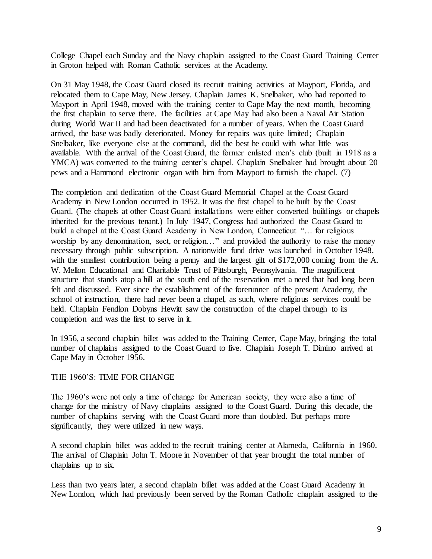College Chapel each Sunday and the Navy chaplain assigned to the Coast Guard Training Center in Groton helped with Roman Catholic services at the Academy.

On 31 May 1948, the Coast Guard closed its recruit training activities at Mayport, Florida, and relocated them to Cape May, New Jersey. Chaplain James K. Snelbaker, who had reported to Mayport in April 1948, moved with the training center to Cape May the next month, becoming the first chaplain to serve there. The facilities at Cape May had also been a Naval Air Station during World War II and had been deactivated for a number of years. When the Coast Guard arrived, the base was badly deteriorated. Money for repairs was quite limited; Chaplain Snelbaker, like everyone else at the command, did the best he could with what little was available. With the arrival of the Coast Guard, the former enlisted men's club (built in 1918 as a YMCA) was converted to the training center's chapel. Chaplain Snelbaker had brought about 20 pews and a Hammond electronic organ with him from Mayport to furnish the chapel. (7)

The completion and dedication of the Coast Guard Memorial Chapel at the Coast Guard Academy in New London occurred in 1952. It was the first chapel to be built by the Coast Guard. (The chapels at other Coast Guard installations were either converted buildings or chapels inherited for the previous tenant.) In July 1947, Congress had authorized the Coast Guard to build a chapel at the Coast Guard Academy in New London, Connecticut "… for religious worship by any denomination, sect, or religion..." and provided the authority to raise the money necessary through public subscription. A nationwide fund drive was launched in October 1948, with the smallest contribution being a penny and the largest gift of \$172,000 coming from the A. W. Mellon Educational and Charitable Trust of Pittsburgh, Pennsylvania. The magnificent structure that stands atop a hill at the south end of the reservation met a need that had long been felt and discussed. Ever since the establishment of the forerunner of the present Academy, the school of instruction, there had never been a chapel, as such, where religious services could be held. Chaplain Fendlon Dobyns Hewitt saw the construction of the chapel through to its completion and was the first to serve in it.

In 1956, a second chaplain billet was added to the Training Center, Cape May, bringing the total number of chaplains assigned to the Coast Guard to five. Chaplain Joseph T. Dimino arrived at Cape May in October 1956.

#### THE 1960'S: TIME FOR CHANGE

The 1960's were not only a time of change for American society, they were also a time of change for the ministry of Navy chaplains assigned to the Coast Guard. During this decade, the number of chaplains serving with the Coast Guard more than doubled. But perhaps more significantly, they were utilized in new ways.

A second chaplain billet was added to the recruit training center at Alameda, California in 1960. The arrival of Chaplain John T. Moore in November of that year brought the total number of chaplains up to six.

Less than two years later, a second chaplain billet was added at the Coast Guard Academy in New London, which had previously been served by the Roman Catholic chaplain assigned to the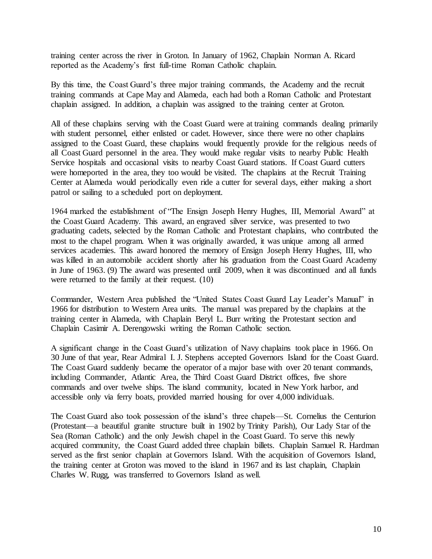training center across the river in Groton. In January of 1962, Chaplain Norman A. Ricard reported as the Academy's first full-time Roman Catholic chaplain.

By this time, the Coast Guard's three major training commands, the Academy and the recruit training commands at Cape May and Alameda, each had both a Roman Catholic and Protestant chaplain assigned. In addition, a chaplain was assigned to the training center at Groton.

All of these chaplains serving with the Coast Guard were at training commands dealing primarily with student personnel, either enlisted or cadet. However, since there were no other chaplains assigned to the Coast Guard, these chaplains would frequently provide for the religious needs of all Coast Guard personnel in the area. They would make regular visits to nearby Public Health Service hospitals and occasional visits to nearby Coast Guard stations. If Coast Guard cutters were homeported in the area, they too would be visited. The chaplains at the Recruit Training Center at Alameda would periodically even ride a cutter for several days, either making a short patrol or sailing to a scheduled port on deployment.

1964 marked the establishment of "The Ensign Joseph Henry Hughes, III, Memorial Award" at the Coast Guard Academy. This award, an engraved silver service, was presented to two graduating cadets, selected by the Roman Catholic and Protestant chaplains, who contributed the most to the chapel program. When it was originally awarded, it was unique among all armed services academies. This award honored the memory of Ensign Joseph Henry Hughes, III, who was killed in an automobile accident shortly after his graduation from the Coast Guard Academy in June of 1963. (9) The award was presented until 2009, when it was discontinued and all funds were returned to the family at their request. (10)

Commander, Western Area published the "United States Coast Guard Lay Leader's Manual" in 1966 for distribution to Western Area units. The manual was prepared by the chaplains at the training center in Alameda, with Chaplain Beryl L. Burr writing the Protestant section and Chaplain Casimir A. Derengowski writing the Roman Catholic section.

A significant change in the Coast Guard's utilization of Navy chaplains took place in 1966. On 30 June of that year, Rear Admiral I. J. Stephens accepted Governors Island for the Coast Guard. The Coast Guard suddenly became the operator of a major base with over 20 tenant commands, including Commander, Atlantic Area, the Third Coast Guard District offices, five shore commands and over twelve ships. The island community, located in New York harbor, and accessible only via ferry boats, provided married housing for over 4,000 individuals.

The Coast Guard also took possession of the island's three chapels—St. Cornelius the Centurion (Protestant—a beautiful granite structure built in 1902 by Trinity Parish), Our Lady Star of the Sea (Roman Catholic) and the only Jewish chapel in the Coast Guard. To serve this newly acquired community, the Coast Guard added three chaplain billets. Chaplain Samuel R. Hardman served as the first senior chaplain at Governors Island. With the acquisition of Governors Island, the training center at Groton was moved to the island in 1967 and its last chaplain, Chaplain Charles W. Rugg, was transferred to Governors Island as well.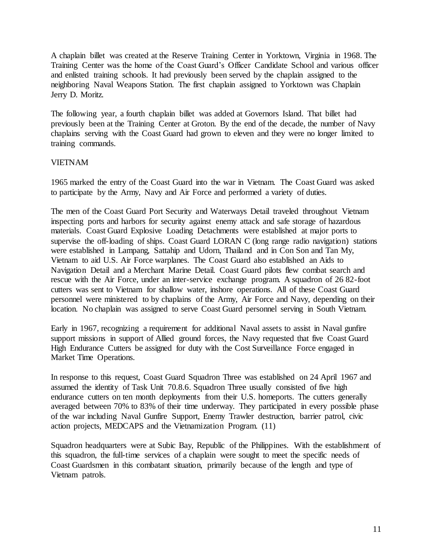A chaplain billet was created at the Reserve Training Center in Yorktown, Virginia in 1968. The Training Center was the home of the Coast Guard's Officer Candidate School and various officer and enlisted training schools. It had previously been served by the chaplain assigned to the neighboring Naval Weapons Station. The first chaplain assigned to Yorktown was Chaplain Jerry D. Moritz.

The following year, a fourth chaplain billet was added at Governors Island. That billet had previously been at the Training Center at Groton. By the end of the decade, the number of Navy chaplains serving with the Coast Guard had grown to eleven and they were no longer limited to training commands.

# VIETNAM

1965 marked the entry of the Coast Guard into the war in Vietnam. The Coast Guard was asked to participate by the Army, Navy and Air Force and performed a variety of duties.

The men of the Coast Guard Port Security and Waterways Detail traveled throughout Vietnam inspecting ports and harbors for security against enemy attack and safe storage of hazardous materials. Coast Guard Explosive Loading Detachments were established at major ports to supervise the off-loading of ships. Coast Guard LORAN C (long range radio navigation) stations were established in Lampang, Sattahip and Udorn, Thailand and in Con Son and Tan My, Vietnam to aid U.S. Air Force warplanes. The Coast Guard also established an Aids to Navigation Detail and a Merchant Marine Detail. Coast Guard pilots flew combat search and rescue with the Air Force, under an inter-service exchange program. A squadron of 26 82-foot cutters was sent to Vietnam for shallow water, inshore operations. All of these Coast Guard personnel were ministered to by chaplains of the Army, Air Force and Navy, depending on their location. No chaplain was assigned to serve Coast Guard personnel serving in South Vietnam.

Early in 1967, recognizing a requirement for additional Naval assets to assist in Naval gunfire support missions in support of Allied ground forces, the Navy requested that five Coast Guard High Endurance Cutters be assigned for duty with the Cost Surveillance Force engaged in Market Time Operations.

In response to this request, Coast Guard Squadron Three was established on 24 April 1967 and assumed the identity of Task Unit 70.8.6. Squadron Three usually consisted of five high endurance cutters on ten month deployments from their U.S. homeports. The cutters generally averaged between 70% to 83% of their time underway. They participated in every possible phase of the war including Naval Gunfire Support, Enemy Trawler destruction, barrier patrol, civic action projects, MEDCAPS and the Vietnamization Program. (11)

Squadron headquarters were at Subic Bay, Republic of the Philippines. With the establishment of this squadron, the full-time services of a chaplain were sought to meet the specific needs of Coast Guardsmen in this combatant situation, primarily because of the length and type of Vietnam patrols.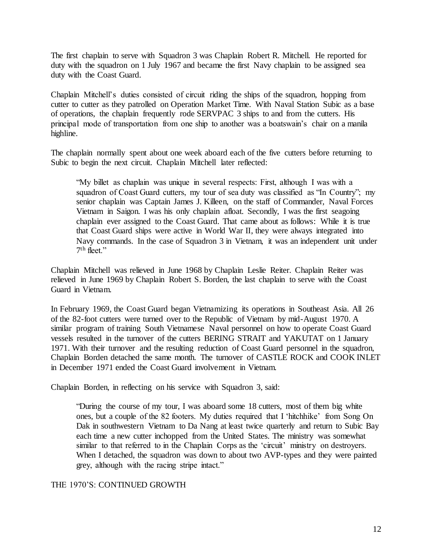The first chaplain to serve with Squadron 3 was Chaplain Robert R. Mitchell. He reported for duty with the squadron on 1 July 1967 and became the first Navy chaplain to be assigned sea duty with the Coast Guard.

Chaplain Mitchell's duties consisted of circuit riding the ships of the squadron, hopping from cutter to cutter as they patrolled on Operation Market Time. With Naval Station Subic as a base of operations, the chaplain frequently rode SERVPAC 3 ships to and from the cutters. His principal mode of transportation from one ship to another was a boatswain's chair on a manila highline.

The chaplain normally spent about one week aboard each of the five cutters before returning to Subic to begin the next circuit. Chaplain Mitchell later reflected:

"My billet as chaplain was unique in several respects: First, although I was with a squadron of Coast Guard cutters, my tour of sea duty was classified as "In Country"; my senior chaplain was Captain James J. Killeen, on the staff of Commander, Naval Forces Vietnam in Saigon. I was his only chaplain afloat. Secondly, I was the first seagoing chaplain ever assigned to the Coast Guard. That came about as follows: While it is true that Coast Guard ships were active in World War II, they were always integrated into Navy commands. In the case of Squadron 3 in Vietnam, it was an independent unit under 7 th fleet."

Chaplain Mitchell was relieved in June 1968 by Chaplain Leslie Reiter. Chaplain Reiter was relieved in June 1969 by Chaplain Robert S. Borden, the last chaplain to serve with the Coast Guard in Vietnam.

In February 1969, the Coast Guard began Vietnamizing its operations in Southeast Asia. All 26 of the 82-foot cutters were turned over to the Republic of Vietnam by mid-August 1970. A similar program of training South Vietnamese Naval personnel on how to operate Coast Guard vessels resulted in the turnover of the cutters BERING STRAIT and YAKUTAT on 1 January 1971. With their turnover and the resulting reduction of Coast Guard personnel in the squadron, Chaplain Borden detached the same month. The turnover of CASTLE ROCK and COOK INLET in December 1971 ended the Coast Guard involvement in Vietnam.

Chaplain Borden, in reflecting on his service with Squadron 3, said:

"During the course of my tour, I was aboard some 18 cutters, most of them big white ones, but a couple of the 82 footers. My duties required that I 'hitchhike' from Song On Dak in southwestern Vietnam to Da Nang at least twice quarterly and return to Subic Bay each time a new cutter inchopped from the United States. The ministry was somewhat similar to that referred to in the Chaplain Corps as the 'circuit' ministry on destroyers. When I detached, the squadron was down to about two AVP-types and they were painted grey, although with the racing stripe intact."

THE 1970'S: CONTINUED GROWTH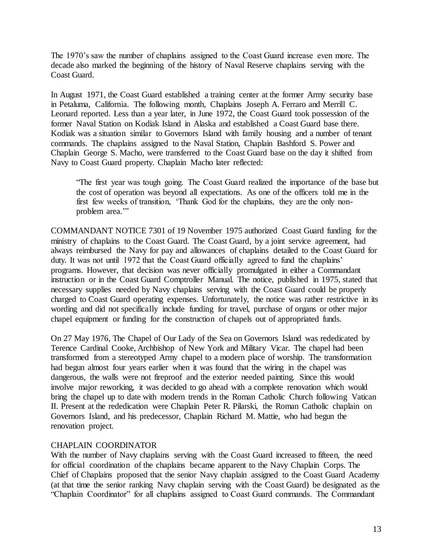The 1970's saw the number of chaplains assigned to the Coast Guard increase even more. The decade also marked the beginning of the history of Naval Reserve chaplains serving with the Coast Guard.

In August 1971, the Coast Guard established a training center at the former Army security base in Petaluma, California. The following month, Chaplains Joseph A. Ferraro and Merrill C. Leonard reported. Less than a year later, in June 1972, the Coast Guard took possession of the former Naval Station on Kodiak Island in Alaska and established a Coast Guard base there. Kodiak was a situation similar to Governors Island with family housing and a number of tenant commands. The chaplains assigned to the Naval Station, Chaplain Bashford S. Power and Chaplain George S. Macho, were transferred to the Coast Guard base on the day it shifted from Navy to Coast Guard property. Chaplain Macho later reflected:

"The first year was tough going. The Coast Guard realized the importance of the base but the cost of operation was beyond all expectations. As one of the officers told me in the first few weeks of transition, 'Thank God for the chaplains, they are the only nonproblem area."

COMMANDANT NOTICE 7301 of 19 November 1975 authorized Coast Guard funding for the ministry of chaplains to the Coast Guard. The Coast Guard, by a joint service agreement, had always reimbursed the Navy for pay and allowances of chaplains detailed to the Coast Guard for duty. It was not until 1972 that the Coast Guard officially agreed to fund the chaplains' programs. However, that decision was never officially promulgated in either a Commandant instruction or in the Coast Guard Comptroller Manual. The notice, published in 1975, stated that necessary supplies needed by Navy chaplains serving with the Coast Guard could be properly charged to Coast Guard operating expenses. Unfortunately, the notice was rather restrictive in its wording and did not specifically include funding for travel, purchase of organs or other major chapel equipment or funding for the construction of chapels out of appropriated funds.

On 27 May 1976, The Chapel of Our Lady of the Sea on Governors Island was rededicated by Terence Cardinal Cooke, Archbishop of New York and Military Vicar. The chapel had been transformed from a stereotyped Army chapel to a modern place of worship. The transformation had begun almost four years earlier when it was found that the wiring in the chapel was dangerous, the walls were not fireproof and the exterior needed painting. Since this would involve major reworking, it was decided to go ahead with a complete renovation which would bring the chapel up to date with modern trends in the Roman Catholic Church following Vatican II. Present at the rededication were Chaplain Peter R. Pilarski, the Roman Catholic chaplain on Governors Island, and his predecessor, Chaplain Richard M. Mattie, who had begun the renovation project.

# CHAPLAIN COORDINATOR

With the number of Navy chaplains serving with the Coast Guard increased to fifteen, the need for official coordination of the chaplains became apparent to the Navy Chaplain Corps. The Chief of Chaplains proposed that the senior Navy chaplain assigned to the Coast Guard Academy (at that time the senior ranking Navy chaplain serving with the Coast Guard) be designated as the "Chaplain Coordinator" for all chaplains assigned to Coast Guard commands. The Commandant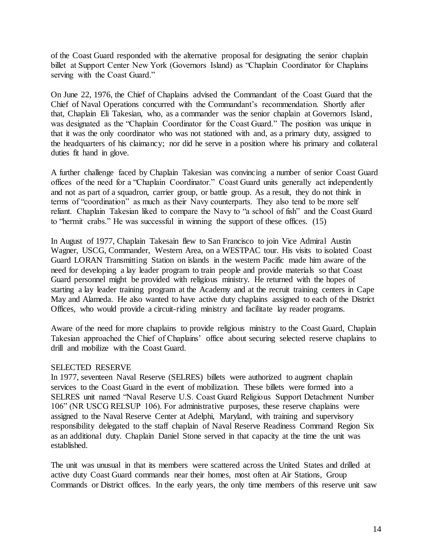of the Coast Guard responded with the alternative proposal for designating the senior chaplain billet at Support Center New York (Governors Island) as "Chaplain Coordinator for Chaplains serving with the Coast Guard."

On June 22, 1976, the Chief of Chaplains advised the Commandant of the Coast Guard that the Chief of Naval Operations concurred with the Commandant's recommendation. Shortly after that, Chaplain Eli Takesian, who, as a commander was the senior chaplain at Governors Island, was designated as the "Chaplain Coordinator for the Coast Guard." The position was unique in that it was the only coordinator who was not stationed with and, as a primary duty, assigned to the headquarters of his claimancy; nor did he serve in a position where his primary and collateral duties fit hand in glove.

A further challenge faced by Chaplain Takesian was convincing a number of senior Coast Guard offices of the need for a "Chaplain Coordinator." Coast Guard units generally act independently and not as part of a squadron, carrier group, or battle group. As a result, they do not think in terms of "coordination" as much as their Navy counterparts. They also tend to be more self reliant. Chaplain Takesian liked to compare the Navy to "a school of fish" and the Coast Guard to "hermit crabs." He was successful in winning the support of these offices. (15)

In August of 1977, Chaplain Takesain flew to San Francisco to join Vice Admiral Austin Wagner, USCG, Commander, Western Area, on a WESTPAC tour. His visits to isolated Coast Guard LORAN Transmitting Station on islands in the western Pacific made him aware of the need for developing a lay leader program to train people and provide materials so that Coast Guard personnel might be provided with religious ministry. He returned with the hopes of starting a lay leader training program at the Academy and at the recruit training centers in Cape May and Alameda. He also wanted to have active duty chaplains assigned to each of the District Offices, who would provide a circuit-riding ministry and facilitate lay reader programs.

Aware of the need for more chaplains to provide religious ministry to the Coast Guard, Chaplain Takesian approached the Chief of Chaplains' office about securing selected reserve chaplains to drill and mobilize with the Coast Guard.

#### SELECTED RESERVE

In 1977, seventeen Naval Reserve (SELRES) billets were authorized to augment chaplain services to the Coast Guard in the event of mobilization. These billets were formed into a SELRES unit named "Naval Reserve U.S. Coast Guard Religious Support Detachment Number 106" (NR USCG RELSUP 106). For administrative purposes, these reserve chaplains were assigned to the Naval Reserve Center at Adelphi, Maryland, with training and supervisory responsibility delegated to the staff chaplain of Naval Reserve Readiness Command Region Six as an additional duty. Chaplain Daniel Stone served in that capacity at the time the unit was established.

The unit was unusual in that its members were scattered across the United States and drilled at active duty Coast Guard commands near their homes, most often at Air Stations, Group Commands or District offices. In the early years, the only time members of this reserve unit saw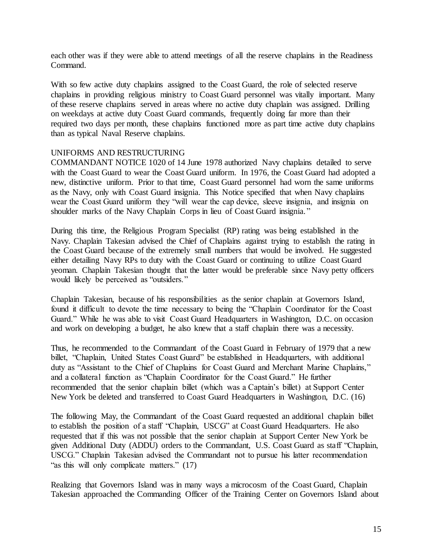each other was if they were able to attend meetings of all the reserve chaplains in the Readiness Command.

With so few active duty chaplains assigned to the Coast Guard, the role of selected reserve chaplains in providing religious ministry to Coast Guard personnel was vitally important. Many of these reserve chaplains served in areas where no active duty chaplain was assigned. Drilling on weekdays at active duty Coast Guard commands, frequently doing far more than their required two days per month, these chaplains functioned more as part time active duty chaplains than as typical Naval Reserve chaplains.

# UNIFORMS AND RESTRUCTURING

COMMANDANT NOTICE 1020 of 14 June 1978 authorized Navy chaplains detailed to serve with the Coast Guard to wear the Coast Guard uniform. In 1976, the Coast Guard had adopted a new, distinctive uniform. Prior to that time, Coast Guard personnel had worn the same uniforms as the Navy, only with Coast Guard insignia. This Notice specified that when Navy chaplains wear the Coast Guard uniform they "will wear the cap device, sleeve insignia, and insignia on shoulder marks of the Navy Chaplain Corps in lieu of Coast Guard insignia. "

During this time, the Religious Program Specialist (RP) rating was being established in the Navy. Chaplain Takesian advised the Chief of Chaplains against trying to establish the rating in the Coast Guard because of the extremely small numbers that would be involved. He suggested either detailing Navy RPs to duty with the Coast Guard or continuing to utilize Coast Guard yeoman. Chaplain Takesian thought that the latter would be preferable since Navy petty officers would likely be perceived as "outsiders."

Chaplain Takesian, because of his responsibilities as the senior chaplain at Governors Island, found it difficult to devote the time necessary to being the "Chaplain Coordinator for the Coast Guard." While he was able to visit Coast Guard Headquarters in Washington, D.C. on occasion and work on developing a budget, he also knew that a staff chaplain there was a necessity.

Thus, he recommended to the Commandant of the Coast Guard in February of 1979 that a new billet, "Chaplain, United States Coast Guard" be established in Headquarters, with additional duty as "Assistant to the Chief of Chaplains for Coast Guard and Merchant Marine Chaplains," and a collateral function as "Chaplain Coordinator for the Coast Guard." He further recommended that the senior chaplain billet (which was a Captain's billet) at Support Center New York be deleted and transferred to Coast Guard Headquarters in Washington, D.C. (16)

The following May, the Commandant of the Coast Guard requested an additional chaplain billet to establish the position of a staff "Chaplain, USCG" at Coast Guard Headquarters. He also requested that if this was not possible that the senior chaplain at Support Center New York be given Additional Duty (ADDU) orders to the Commandant, U.S. Coast Guard as staff "Chaplain, USCG." Chaplain Takesian advised the Commandant not to pursue his latter recommendation "as this will only complicate matters." (17)

Realizing that Governors Island was in many ways a microcosm of the Coast Guard, Chaplain Takesian approached the Commanding Officer of the Training Center on Governors Island about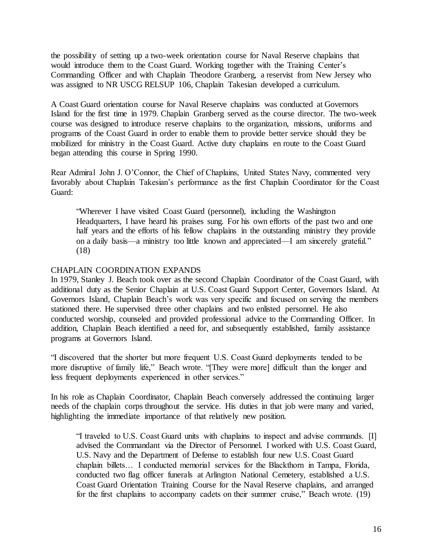the possibility of setting up a two-week orientation course for Naval Reserve chaplains that would introduce them to the Coast Guard. Working together with the Training Center's Commanding Officer and with Chaplain Theodore Granberg, a reservist from New Jersey who was assigned to NR USCG RELSUP 106, Chaplain Takesian developed a curriculum.

A Coast Guard orientation course for Naval Reserve chaplains was conducted at Governors Island for the first time in 1979. Chaplain Granberg served as the course director. The two-week course was designed to introduce reserve chaplains to the organization, missions, uniforms and programs of the Coast Guard in order to enable them to provide better service should they be mobilized for ministry in the Coast Guard. Active duty chaplains en route to the Coast Guard began attending this course in Spring 1990.

Rear Admiral John J. O'Connor, the Chief of Chaplains, United States Navy, commented very favorably about Chaplain Takesian's performance as the first Chaplain Coordinator for the Coast Guard:

"Wherever I have visited Coast Guard (personnel), including the Washington Headquarters, I have heard his praises sung. For his own efforts of the past two and one half years and the efforts of his fellow chaplains in the outstanding ministry they provide on a daily basis—a ministry too little known and appreciated—I am sincerely grateful." (18)

# CHAPLAIN COORDINATION EXPANDS

In 1979, Stanley J. Beach took over as the second Chaplain Coordinator of the Coast Guard, with additional duty as the Senior Chaplain at U.S. Coast Guard Support Center, Governors Island. At Governors Island, Chaplain Beach's work was very specific and focused on serving the members stationed there. He supervised three other chaplains and two enlisted personnel. He also conducted worship, counseled and provided professional advice to the Commanding Officer. In addition, Chaplain Beach identified a need for, and subsequently established, family assistance programs at Governors Island.

"I discovered that the shorter but more frequent U.S. Coast Guard deployments tended to be more disruptive of family life," Beach wrote. "[They were more] difficult than the longer and less frequent deployments experienced in other services."

In his role as Chaplain Coordinator, Chaplain Beach conversely addressed the continuing larger needs of the chaplain corps throughout the service. His duties in that job were many and varied, highlighting the immediate importance of that relatively new position.

"I traveled to U.S. Coast Guard units with chaplains to inspect and advise commands. [I] advised the Commandant via the Director of Personnel. I worked with U.S. Coast Guard, U.S. Navy and the Department of Defense to establish four new U.S. Coast Guard chaplain billets… I conducted memorial services for the Blackthorn in Tampa, Florida, conducted two flag officer funerals at Arlington National Cemetery, established a U.S. Coast Guard Orientation Training Course for the Naval Reserve chaplains, and arranged for the first chaplains to accompany cadets on their summer cruise," Beach wrote. (19)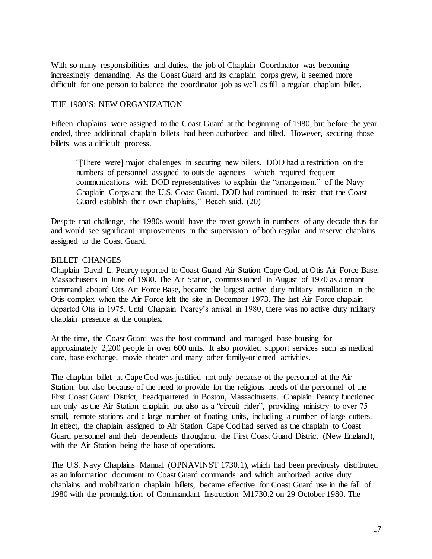With so many responsibilities and duties, the job of Chaplain Coordinator was becoming increasingly demanding. As the Coast Guard and its chaplain corps grew, it seemed more difficult for one person to balance the coordinator job as well as fill a regular chaplain billet.

## THE 1980'S: NEW ORGANIZATION

Fifteen chaplains were assigned to the Coast Guard at the beginning of 1980; but before the year ended, three additional chaplain billets had been authorized and filled. However, securing those billets was a difficult process.

"[There were] major challenges in securing new billets. DOD had a restriction on the numbers of personnel assigned to outside agencies—which required frequent communications with DOD representatives to explain the "arrangement" of the Navy Chaplain Corps and the U.S. Coast Guard. DOD had continued to insist that the Coast Guard establish their own chaplains," Beach said. (20)

Despite that challenge, the 1980s would have the most growth in numbers of any decade thus far and would see significant improvements in the supervision of both regular and reserve chaplains assigned to the Coast Guard.

## BILLET CHANGES

Chaplain David L. Pearcy reported to Coast Guard Air Station Cape Cod, at Otis Air Force Base, Massachusetts in June of 1980. The Air Station, commissioned in August of 1970 as a tenant command aboard Otis Air Force Base, became the largest active duty military installation in the Otis complex when the Air Force left the site in December 1973. The last Air Force chaplain departed Otis in 1975. Until Chaplain Pearcy's arrival in 1980, there was no active duty military chaplain presence at the complex.

At the time, the Coast Guard was the host command and managed base housing for approximately 2,200 people in over 600 units. It also provided support services such as medical care, base exchange, movie theater and many other family-oriented activities.

The chaplain billet at Cape Cod was justified not only because of the personnel at the Air Station, but also because of the need to provide for the religious needs of the personnel of the First Coast Guard District, headquartered in Boston, Massachusetts. Chaplain Pearcy functioned not only as the Air Station chaplain but also as a "circuit rider", providing ministry to over 75 small, remote stations and a large number of floating units, including a number of large cutters. In effect, the chaplain assigned to Air Station Cape Cod had served as the chaplain to Coast Guard personnel and their dependents throughout the First Coast Guard District (New England), with the Air Station being the base of operations.

The U.S. Navy Chaplains Manual (OPNAVINST 1730.1), which had been previously distributed as an information document to Coast Guard commands and which authorized active duty chaplains and mobilization chaplain billets, became effective for Coast Guard use in the fall of 1980 with the promulgation of Commandant Instruction M1730.2 on 29 October 1980. The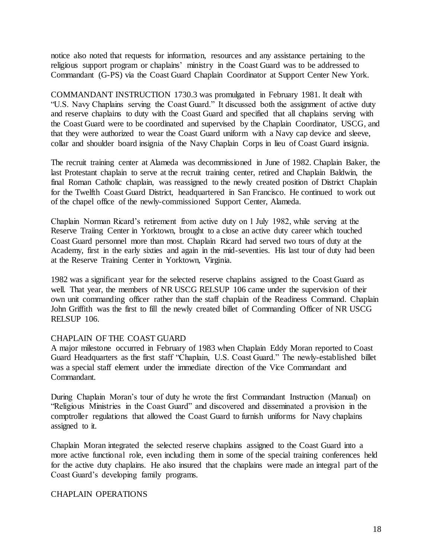notice also noted that requests for information, resources and any assistance pertaining to the religious support program or chaplains' ministry in the Coast Guard was to be addressed to Commandant (G-PS) via the Coast Guard Chaplain Coordinator at Support Center New York.

COMMANDANT INSTRUCTION 1730.3 was promulgated in February 1981. It dealt with "U.S. Navy Chaplains serving the Coast Guard." It discussed both the assignment of active duty and reserve chaplains to duty with the Coast Guard and specified that all chaplains serving with the Coast Guard were to be coordinated and supervised by the Chaplain Coordinator, USCG, and that they were authorized to wear the Coast Guard uniform with a Navy cap device and sleeve, collar and shoulder board insignia of the Navy Chaplain Corps in lieu of Coast Guard insignia.

The recruit training center at Alameda was decommissioned in June of 1982. Chaplain Baker, the last Protestant chaplain to serve at the recruit training center, retired and Chaplain Baldwin, the final Roman Catholic chaplain, was reassigned to the newly created position of District Chaplain for the Twelfth Coast Guard District, headquartered in San Francisco. He continued to work out of the chapel office of the newly-commissioned Support Center, Alameda.

Chaplain Norman Ricard's retirement from active duty on 1 July 1982, while serving at the Reserve Traiing Center in Yorktown, brought to a close an active duty career which touched Coast Guard personnel more than most. Chaplain Ricard had served two tours of duty at the Academy, first in the early sixties and again in the mid-seventies. His last tour of duty had been at the Reserve Training Center in Yorktown, Virginia.

1982 was a significant year for the selected reserve chaplains assigned to the Coast Guard as well. That year, the members of NR USCG RELSUP 106 came under the supervision of their own unit commanding officer rather than the staff chaplain of the Readiness Command. Chaplain John Griffith was the first to fill the newly created billet of Commanding Officer of NR USCG RELSUP 106.

#### CHAPLAIN OF THE COAST GUARD

A major milestone occurred in February of 1983 when Chaplain Eddy Moran reported to Coast Guard Headquarters as the first staff "Chaplain, U.S. Coast Guard." The newly-established billet was a special staff element under the immediate direction of the Vice Commandant and Commandant.

During Chaplain Moran's tour of duty he wrote the first Commandant Instruction (Manual) on "Religious Ministries in the Coast Guard" and discovered and disseminated a provision in the comptroller regulations that allowed the Coast Guard to furnish uniforms for Navy chaplains assigned to it.

Chaplain Moran integrated the selected reserve chaplains assigned to the Coast Guard into a more active functional role, even including them in some of the special training conferences held for the active duty chaplains. He also insured that the chaplains were made an integral part of the Coast Guard's developing family programs.

#### CHAPLAIN OPERATIONS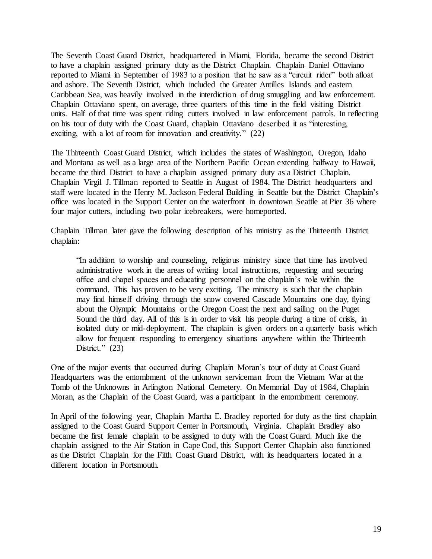The Seventh Coast Guard District, headquartered in Miami, Florida, became the second District to have a chaplain assigned primary duty as the District Chaplain. Chaplain Daniel Ottaviano reported to Miami in September of 1983 to a position that he saw as a "circuit rider" both afloat and ashore. The Seventh District, which included the Greater Antilles Islands and eastern Caribbean Sea, was heavily involved in the interdiction of drug smuggling and law enforcement. Chaplain Ottaviano spent, on average, three quarters of this time in the field visiting District units. Half of that time was spent riding cutters involved in law enforcement patrols. In reflecting on his tour of duty with the Coast Guard, chaplain Ottaviano described it as "interesting, exciting, with a lot of room for innovation and creativity." (22)

The Thirteenth Coast Guard District, which includes the states of Washington, Oregon, Idaho and Montana as well as a large area of the Northern Pacific Ocean extending halfway to Hawaii, became the third District to have a chaplain assigned primary duty as a District Chaplain. Chaplain Virgil J. Tillman reported to Seattle in August of 1984. The District headquarters and staff were located in the Henry M. Jackson Federal Building in Seattle but the District Chaplain's office was located in the Support Center on the waterfront in downtown Seattle at Pier 36 where four major cutters, including two polar icebreakers, were homeported.

Chaplain Tillman later gave the following description of his ministry as the Thirteenth District chaplain:

"In addition to worship and counseling, religious ministry since that time has involved administrative work in the areas of writing local instructions, requesting and securing office and chapel spaces and educating personnel on the chaplain's role within the command. This has proven to be very exciting. The ministry is such that the chaplain may find himself driving through the snow covered Cascade Mountains one day, flying about the Olympic Mountains or the Oregon Coast the next and sailing on the Puget Sound the third day. All of this is in order to visit his people during a time of crisis, in isolated duty or mid-deployment. The chaplain is given orders on a quarterly basis which allow for frequent responding to emergency situations anywhere within the Thirteenth District."  $(23)$ 

One of the major events that occurred during Chaplain Moran's tour of duty at Coast Guard Headquarters was the entombment of the unknown serviceman from the Vietnam War at the Tomb of the Unknowns in Arlington National Cemetery. On Memorial Day of 1984, Chaplain Moran, as the Chaplain of the Coast Guard, was a participant in the entombment ceremony.

In April of the following year, Chaplain Martha E. Bradley reported for duty as the first chaplain assigned to the Coast Guard Support Center in Portsmouth, Virginia. Chaplain Bradley also became the first female chaplain to be assigned to duty with the Coast Guard. Much like the chaplain assigned to the Air Station in Cape Cod, this Support Center Chaplain also functioned as the District Chaplain for the Fifth Coast Guard District, with its headquarters located in a different location in Portsmouth.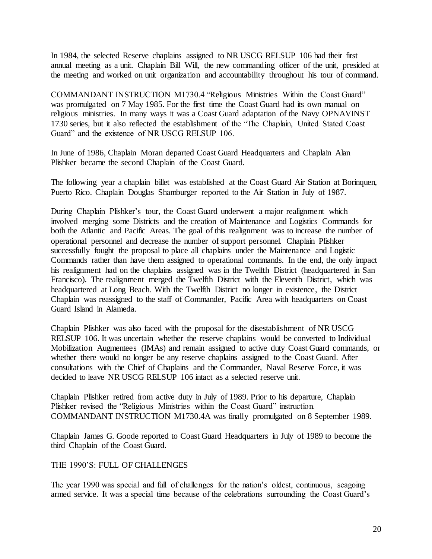In 1984, the selected Reserve chaplains assigned to NR USCG RELSUP 106 had their first annual meeting as a unit. Chaplain Bill Will, the new commanding officer of the unit, presided at the meeting and worked on unit organization and accountability throughout his tour of command.

COMMANDANT INSTRUCTION M1730.4 "Religious Ministries Within the Coast Guard" was promulgated on 7 May 1985. For the first time the Coast Guard had its own manual on religious ministries. In many ways it was a Coast Guard adaptation of the Navy OPNAVINST 1730 series, but it also reflected the establishment of the "The Chaplain, United Stated Coast Guard" and the existence of NR USCG RELSUP 106.

In June of 1986, Chaplain Moran departed Coast Guard Headquarters and Chaplain Alan Plishker became the second Chaplain of the Coast Guard.

The following year a chaplain billet was established at the Coast Guard Air Station at Borinquen, Puerto Rico. Chaplain Douglas Shamburger reported to the Air Station in July of 1987.

During Chaplain Plishker's tour, the Coast Guard underwent a major realignment which involved merging some Districts and the creation of Maintenance and Logistics Commands for both the Atlantic and Pacific Areas. The goal of this realignment was to increase the number of operational personnel and decrease the number of support personnel. Chaplain Plishker successfully fought the proposal to place all chaplains under the Maintenance and Logistic Commands rather than have them assigned to operational commands. In the end, the only impact his realignment had on the chaplains assigned was in the Twelfth District (headquartered in San Francisco). The realignment merged the Twelfth District with the Eleventh District, which was headquartered at Long Beach. With the Twelfth District no longer in existence, the District Chaplain was reassigned to the staff of Commander, Pacific Area with headquarters on Coast Guard Island in Alameda.

Chaplain Plishker was also faced with the proposal for the disestablishment of NR USCG RELSUP 106. It was uncertain whether the reserve chaplains would be converted to Individual Mobilization Augmentees (IMAs) and remain assigned to active duty Coast Guard commands, or whether there would no longer be any reserve chaplains assigned to the Coast Guard. After consultations with the Chief of Chaplains and the Commander, Naval Reserve Force, it was decided to leave NR USCG RELSUP 106 intact as a selected reserve unit.

Chaplain Plishker retired from active duty in July of 1989. Prior to his departure, Chaplain Plishker revised the "Religious Ministries within the Coast Guard" instruction. COMMANDANT INSTRUCTION M1730.4A was finally promulgated on 8 September 1989.

Chaplain James G. Goode reported to Coast Guard Headquarters in July of 1989 to become the third Chaplain of the Coast Guard.

#### THE 1990'S: FULL OF CHALLENGES

The year 1990 was special and full of challenges for the nation's oldest, continuous, seagoing armed service. It was a special time because of the celebrations surrounding the Coast Guard's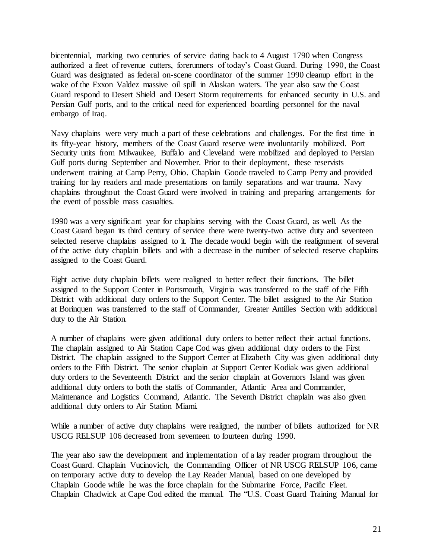bicentennial, marking two centuries of service dating back to 4 August 1790 when Congress authorized a fleet of revenue cutters, forerunners of today's Coast Guard. During 1990, the Coast Guard was designated as federal on-scene coordinator of the summer 1990 cleanup effort in the wake of the Exxon Valdez massive oil spill in Alaskan waters. The year also saw the Coast Guard respond to Desert Shield and Desert Storm requirements for enhanced security in U.S. and Persian Gulf ports, and to the critical need for experienced boarding personnel for the naval embargo of Iraq.

Navy chaplains were very much a part of these celebrations and challenges. For the first time in its fifty-year history, members of the Coast Guard reserve were involuntarily mobilized. Port Security units from Milwaukee, Buffalo and Cleveland were mobilized and deployed to Persian Gulf ports during September and November. Prior to their deployment, these reservists underwent training at Camp Perry, Ohio. Chaplain Goode traveled to Camp Perry and provided training for lay readers and made presentations on family separations and war trauma. Navy chaplains throughout the Coast Guard were involved in training and preparing arrangements for the event of possible mass casualties.

1990 was a very significant year for chaplains serving with the Coast Guard, as well. As the Coast Guard began its third century of service there were twenty-two active duty and seventeen selected reserve chaplains assigned to it. The decade would begin with the realignment of several of the active duty chaplain billets and with a decrease in the number of selected reserve chaplains assigned to the Coast Guard.

Eight active duty chaplain billets were realigned to better reflect their functions. The billet assigned to the Support Center in Portsmouth, Virginia was transferred to the staff of the Fifth District with additional duty orders to the Support Center. The billet assigned to the Air Station at Borinquen was transferred to the staff of Commander, Greater Antilles Section with additional duty to the Air Station.

A number of chaplains were given additional duty orders to better reflect their actual functions. The chaplain assigned to Air Station Cape Cod was given additional duty orders to the First District. The chaplain assigned to the Support Center at Elizabeth City was given additional duty orders to the Fifth District. The senior chaplain at Support Center Kodiak was given additional duty orders to the Seventeenth District and the senior chaplain at Governors Island was given additional duty orders to both the staffs of Commander, Atlantic Area and Commander, Maintenance and Logistics Command, Atlantic. The Seventh District chaplain was also given additional duty orders to Air Station Miami.

While a number of active duty chaplains were realigned, the number of billets authorized for NR USCG RELSUP 106 decreased from seventeen to fourteen during 1990.

The year also saw the development and implementation of a lay reader program throughout the Coast Guard. Chaplain Vucinovich, the Commanding Officer of NR USCG RELSUP 106, came on temporary active duty to develop the Lay Reader Manual, based on one developed by Chaplain Goode while he was the force chaplain for the Submarine Force, Pacific Fleet. Chaplain Chadwick at Cape Cod edited the manual. The "U.S. Coast Guard Training Manual for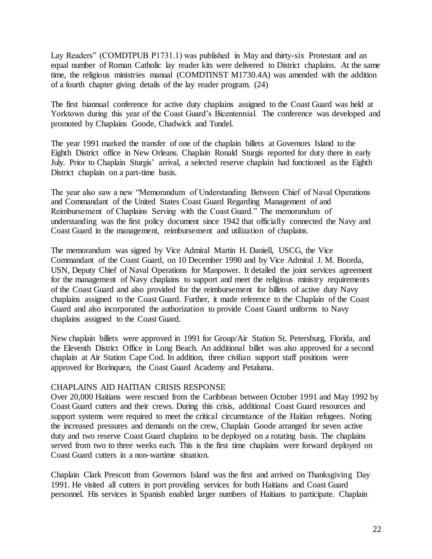Lay Readers" (COMDTPUB P1731.1) was published in May and thirty-six Protestant and an equal number of Roman Catholic lay reader kits were delivered to District chaplains. At the same time, the religious ministries manual (COMDTINST M1730.4A) was amended with the addition of a fourth chapter giving details of the lay reader program. (24)

The first biannual conference for active duty chaplains assigned to the Coast Guard was held at Yorktown during this year of the Coast Guard's Bicentennial. The conference was developed and promoted by Chaplains Goode, Chadwick and Tundel.

The year 1991 marked the transfer of one of the chaplain billets at Governors Island to the Eighth District office in New Orleans. Chaplain Ronald Sturgis reported for duty there in early July. Prior to Chaplain Sturgis' arrival, a selected reserve chaplain had functioned as the Eighth District chaplain on a part-time basis.

The year also saw a new "Memorandum of Understanding Between Chief of Naval Operations and Commandant of the United States Coast Guard Regarding Management of and Reimbursement of Chaplains Serving with the Coast Guard." The memorandum of understanding was the first policy document since 1942 that officially connected the Navy and Coast Guard in the management, reimbursement and utilization of chaplains.

The memorandum was signed by Vice Admiral Martin H. Daniell, USCG, the Vice Commandant of the Coast Guard, on 10 December 1990 and by Vice Admiral J. M. Boorda, USN, Deputy Chief of Naval Operations for Manpower. It detailed the joint services agreement for the management of Navy chaplains to support and meet the religious ministry requirements of the Coast Guard and also provided for the reimbursement for billets of active duty Navy chaplains assigned to the Coast Guard. Further, it made reference to the Chaplain of the Coast Guard and also incorporated the authorization to provide Coast Guard uniforms to Navy chaplains assigned to the Coast Guard.

New chaplain billets were approved in 1991 for Group/Air Station St. Petersburg, Florida, and the Eleventh District Office in Long Beach. An additional billet was also approved for a second chaplain at Air Station Cape Cod. In addition, three civilian support staff positions were approved for Borinquen, the Coast Guard Academy and Petaluma.

#### CHAPLAINS AID HAITIAN CRISIS RESPONSE

Over 20,000 Haitians were rescued from the Caribbean between October 1991 and May 1992 by Coast Guard cutters and their crews. During this crisis, additional Coast Guard resources and support systems were required to meet the critical circumstance of the Haitian refugees. Noting the increased pressures and demands on the crew, Chaplain Goode arranged for seven active duty and two reserve Coast Guard chaplains to be deployed on a rotating basis. The chaplains served from two to three weeks each. This is the first time chaplains were forward deployed on Coast Guard cutters in a non-wartime situation.

Chaplain Clark Prescott from Governors Island was the first and arrived on Thanksgiving Day 1991. He visited all cutters in port providing services for both Haitians and Coast Guard personnel. His services in Spanish enabled larger numbers of Haitians to participate. Chaplain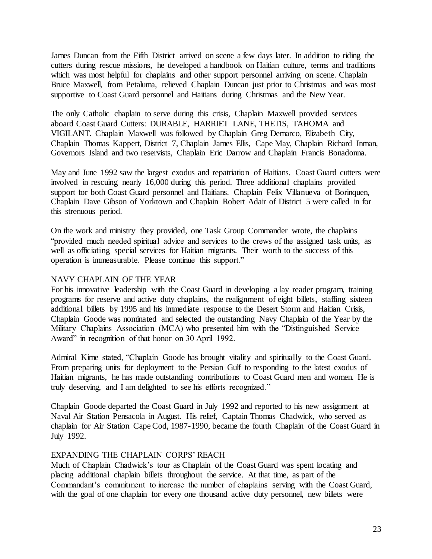James Duncan from the Fifth District arrived on scene a few days later. In addition to riding the cutters during rescue missions, he developed a handbook on Haitian culture, terms and traditions which was most helpful for chaplains and other support personnel arriving on scene. Chaplain Bruce Maxwell, from Petaluma, relieved Chaplain Duncan just prior to Christmas and was most supportive to Coast Guard personnel and Haitians during Christmas and the New Year.

The only Catholic chaplain to serve during this crisis, Chaplain Maxwell provided services aboard Coast Guard Cutters: DURABLE, HARRIET LANE, THETIS, TAHOMA and VIGILANT. Chaplain Maxwell was followed by Chaplain Greg Demarco, Elizabeth City, Chaplain Thomas Kappert, District 7, Chaplain James Ellis, Cape May, Chaplain Richard Inman, Governors Island and two reservists, Chaplain Eric Darrow and Chaplain Francis Bonadonna.

May and June 1992 saw the largest exodus and repatriation of Haitians. Coast Guard cutters were involved in rescuing nearly 16,000 during this period. Three additional chaplains provided support for both Coast Guard personnel and Haitians. Chaplain Felix Villanueva of Borinquen, Chaplain Dave Gibson of Yorktown and Chaplain Robert Adair of District 5 were called in for this strenuous period.

On the work and ministry they provided, one Task Group Commander wrote, the chaplains "provided much needed spiritual advice and services to the crews of the assigned task units, as well as officiating special services for Haitian migrants. Their worth to the success of this operation is immeasurable. Please continue this support."

## NAVY CHAPLAIN OF THE YEAR

For his innovative leadership with the Coast Guard in developing a lay reader program, training programs for reserve and active duty chaplains, the realignment of eight billets, staffing sixteen additional billets by 1995 and his immediate response to the Desert Storm and Haitian Crisis, Chaplain Goode was nominated and selected the outstanding Navy Chaplain of the Year by the Military Chaplains Association (MCA) who presented him with the "Distinguished Service Award" in recognition of that honor on 30 April 1992.

Admiral Kime stated, "Chaplain Goode has brought vitality and spiritually to the Coast Guard. From preparing units for deployment to the Persian Gulf to responding to the latest exodus of Haitian migrants, he has made outstanding contributions to Coast Guard men and women. He is truly deserving, and I am delighted to see his efforts recognized."

Chaplain Goode departed the Coast Guard in July 1992 and reported to his new assignment at Naval Air Station Pensacola in August. His relief, Captain Thomas Chadwick, who served as chaplain for Air Station Cape Cod, 1987-1990, became the fourth Chaplain of the Coast Guard in July 1992.

#### EXPANDING THE CHAPLAIN CORPS' REACH

Much of Chaplain Chadwick's tour as Chaplain of the Coast Guard was spent locating and placing additional chaplain billets throughout the service. At that time, as part of the Commandant's commitment to increase the number of chaplains serving with the Coast Guard, with the goal of one chaplain for every one thousand active duty personnel, new billets were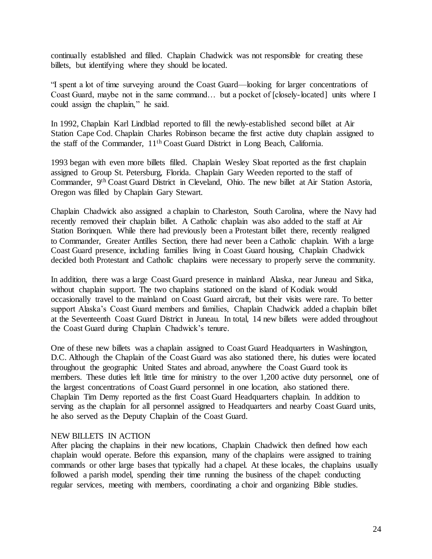continually established and filled. Chaplain Chadwick was not responsible for creating these billets, but identifying where they should be located.

"I spent a lot of time surveying around the Coast Guard—looking for larger concentrations of Coast Guard, maybe not in the same command… but a pocket of [closely-located] units where I could assign the chaplain," he said.

In 1992, Chaplain Karl Lindblad reported to fill the newly-established second billet at Air Station Cape Cod. Chaplain Charles Robinson became the first active duty chaplain assigned to the staff of the Commander, 11th Coast Guard District in Long Beach, California.

1993 began with even more billets filled. Chaplain Wesley Sloat reported as the first chaplain assigned to Group St. Petersburg, Florida. Chaplain Gary Weeden reported to the staff of Commander, 9th Coast Guard District in Cleveland, Ohio. The new billet at Air Station Astoria, Oregon was filled by Chaplain Gary Stewart.

Chaplain Chadwick also assigned a chaplain to Charleston, South Carolina, where the Navy had recently removed their chaplain billet. A Catholic chaplain was also added to the staff at Air Station Borinquen. While there had previously been a Protestant billet there, recently realigned to Commander, Greater Antilles Section, there had never been a Catholic chaplain. With a large Coast Guard presence, including families living in Coast Guard housing, Chaplain Chadwick decided both Protestant and Catholic chaplains were necessary to properly serve the community.

In addition, there was a large Coast Guard presence in mainland Alaska, near Juneau and Sitka, without chaplain support. The two chaplains stationed on the island of Kodiak would occasionally travel to the mainland on Coast Guard aircraft, but their visits were rare. To better support Alaska's Coast Guard members and families, Chaplain Chadwick added a chaplain billet at the Seventeenth Coast Guard District in Juneau. In total, 14 new billets were added throughout the Coast Guard during Chaplain Chadwick's tenure.

One of these new billets was a chaplain assigned to Coast Guard Headquarters in Washington, D.C. Although the Chaplain of the Coast Guard was also stationed there, his duties were located throughout the geographic United States and abroad, anywhere the Coast Guard took its members. These duties left little time for ministry to the over 1,200 active duty personnel, one of the largest concentrations of Coast Guard personnel in one location, also stationed there. Chaplain Tim Demy reported as the first Coast Guard Headquarters chaplain. In addition to serving as the chaplain for all personnel assigned to Headquarters and nearby Coast Guard units, he also served as the Deputy Chaplain of the Coast Guard.

#### NEW BILLETS IN ACTION

After placing the chaplains in their new locations, Chaplain Chadwick then defined how each chaplain would operate. Before this expansion, many of the chaplains were assigned to training commands or other large bases that typically had a chapel. At these locales, the chaplains usually followed a parish model, spending their time running the business of the chapel: conducting regular services, meeting with members, coordinating a choir and organizing Bible studies.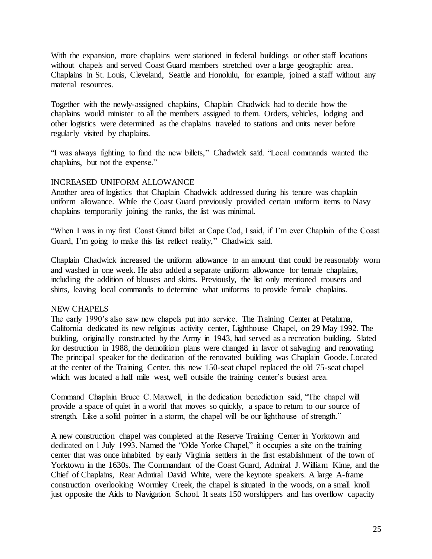With the expansion, more chaplains were stationed in federal buildings or other staff locations without chapels and served Coast Guard members stretched over a large geographic area. Chaplains in St. Louis, Cleveland, Seattle and Honolulu, for example, joined a staff without any material resources.

Together with the newly-assigned chaplains, Chaplain Chadwick had to decide how the chaplains would minister to all the members assigned to them. Orders, vehicles, lodging and other logistics were determined as the chaplains traveled to stations and units never before regularly visited by chaplains.

"I was always fighting to fund the new billets," Chadwick said. "Local commands wanted the chaplains, but not the expense."

# INCREASED UNIFORM ALLOWANCE

Another area of logistics that Chaplain Chadwick addressed during his tenure was chaplain uniform allowance. While the Coast Guard previously provided certain uniform items to Navy chaplains temporarily joining the ranks, the list was minimal.

"When I was in my first Coast Guard billet at Cape Cod, I said, if I'm ever Chaplain of the Coast Guard, I'm going to make this list reflect reality," Chadwick said.

Chaplain Chadwick increased the uniform allowance to an amount that could be reasonably worn and washed in one week. He also added a separate uniform allowance for female chaplains, including the addition of blouses and skirts. Previously, the list only mentioned trousers and shirts, leaving local commands to determine what uniforms to provide female chaplains.

#### NEW CHAPELS

The early 1990's also saw new chapels put into service. The Training Center at Petaluma, California dedicated its new religious activity center, Lighthouse Chapel, on 29 May 1992. The building, originally constructed by the Army in 1943, had served as a recreation building. Slated for destruction in 1988, the demolition plans were changed in favor of salvaging and renovating. The principal speaker for the dedication of the renovated building was Chaplain Goode. Located at the center of the Training Center, this new 150-seat chapel replaced the old 75-seat chapel which was located a half mile west, well outside the training center's busiest area.

Command Chaplain Bruce C. Maxwell, in the dedication benediction said, "The chapel will provide a space of quiet in a world that moves so quickly, a space to return to our source of strength. Like a solid pointer in a storm, the chapel will be our lighthouse of strength."

A new construction chapel was completed at the Reserve Training Center in Yorktown and dedicated on 1 July 1993. Named the "Olde Yorke Chapel," it occupies a site on the training center that was once inhabited by early Virginia settlers in the first establishment of the town of Yorktown in the 1630s. The Commandant of the Coast Guard, Admiral J. William Kime, and the Chief of Chaplains, Rear Admiral David White, were the keynote speakers. A large A-frame construction overlooking Wormley Creek, the chapel is situated in the woods, on a small knoll just opposite the Aids to Navigation School. It seats 150 worshippers and has overflow capacity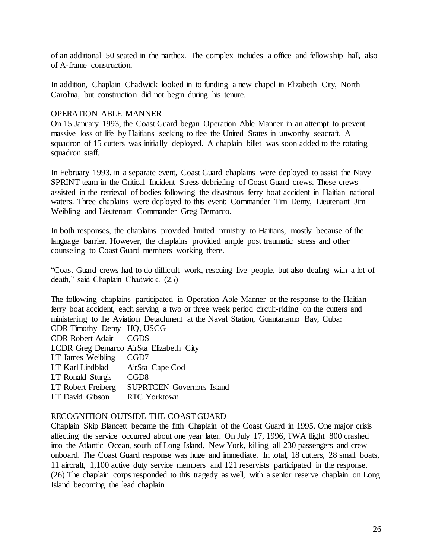of an additional 50 seated in the narthex. The complex includes a office and fellowship hall, also of A-frame construction.

In addition, Chaplain Chadwick looked in to funding a new chapel in Elizabeth City, North Carolina, but construction did not begin during his tenure.

## OPERATION ABLE MANNER

On 15 January 1993, the Coast Guard began Operation Able Manner in an attempt to prevent massive loss of life by Haitians seeking to flee the United States in unworthy seacraft. A squadron of 15 cutters was initially deployed. A chaplain billet was soon added to the rotating squadron staff.

In February 1993, in a separate event, Coast Guard chaplains were deployed to assist the Navy SPRINT team in the Critical Incident Stress debriefing of Coast Guard crews. These crews assisted in the retrieval of bodies following the disastrous ferry boat accident in Haitian national waters. Three chaplains were deployed to this event: Commander Tim Demy, Lieutenant Jim Weibling and Lieutenant Commander Greg Demarco.

In both responses, the chaplains provided limited ministry to Haitians, mostly because of the language barrier. However, the chaplains provided ample post traumatic stress and other counseling to Coast Guard members working there.

"Coast Guard crews had to do difficult work, rescuing live people, but also dealing with a lot of death," said Chaplain Chadwick. (25)

The following chaplains participated in Operation Able Manner or the response to the Haitian ferry boat accident, each serving a two or three week period circuit-riding on the cutters and ministering to the Aviation Detachment at the Naval Station, Guantanamo Bay, Cuba: CDR Timothy Demy HQ, USCG

CDR Robert Adair CGDS

LCDR Greg Demarco AirSta Elizabeth City

LT James Weibling CGD7

LT Karl Lindblad AirSta Cape Cod

LT Ronald Sturgis CGD8

LT Robert Freiberg SUPRTCEN Governors Island

LT David Gibson RTC Yorktown

# RECOGNITION OUTSIDE THE COAST GUARD

Chaplain Skip Blancett became the fifth Chaplain of the Coast Guard in 1995. One major crisis affecting the service occurred about one year later. On July 17, 1996, TWA flight 800 crashed into the Atlantic Ocean, south of Long Island, New York, killing all 230 passengers and crew onboard. The Coast Guard response was huge and immediate. In total, 18 cutters, 28 small boats, 11 aircraft, 1,100 active duty service members and 121 reservists participated in the response. (26) The chaplain corps responded to this tragedy as well, with a senior reserve chaplain on Long Island becoming the lead chaplain.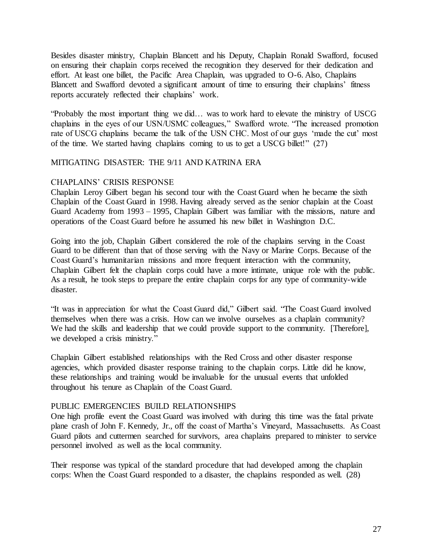Besides disaster ministry, Chaplain Blancett and his Deputy, Chaplain Ronald Swafford, focused on ensuring their chaplain corps received the recognition they deserved for their dedication and effort. At least one billet, the Pacific Area Chaplain, was upgraded to O-6. Also, Chaplains Blancett and Swafford devoted a significant amount of time to ensuring their chaplains' fitness reports accurately reflected their chaplains' work.

"Probably the most important thing we did… was to work hard to elevate the ministry of USCG chaplains in the eyes of our USN/USMC colleagues," Swafford wrote. "The increased promotion rate of USCG chaplains became the talk of the USN CHC. Most of our guys 'made the cut' most of the time. We started having chaplains coming to us to get a USCG billet!" (27)

# MITIGATING DISASTER: THE 9/11 AND KATRINA ERA

## CHAPLAINS' CRISIS RESPONSE

Chaplain Leroy Gilbert began his second tour with the Coast Guard when he became the sixth Chaplain of the Coast Guard in 1998. Having already served as the senior chaplain at the Coast Guard Academy from 1993 – 1995, Chaplain Gilbert was familiar with the missions, nature and operations of the Coast Guard before he assumed his new billet in Washington D.C.

Going into the job, Chaplain Gilbert considered the role of the chaplains serving in the Coast Guard to be different than that of those serving with the Navy or Marine Corps. Because of the Coast Guard's humanitarian missions and more frequent interaction with the community, Chaplain Gilbert felt the chaplain corps could have a more intimate, unique role with the public. As a result, he took steps to prepare the entire chaplain corps for any type of community-wide disaster.

"It was in appreciation for what the Coast Guard did," Gilbert said. "The Coast Guard involved themselves when there was a crisis. How can we involve ourselves as a chaplain community? We had the skills and leadership that we could provide support to the community. [Therefore], we developed a crisis ministry."

Chaplain Gilbert established relationships with the Red Cross and other disaster response agencies, which provided disaster response training to the chaplain corps. Little did he know, these relationships and training would be invaluable for the unusual events that unfolded throughout his tenure as Chaplain of the Coast Guard.

#### PUBLIC EMERGENCIES BUILD RELATIONSHIPS

One high profile event the Coast Guard was involved with during this time was the fatal private plane crash of John F. Kennedy, Jr., off the coast of Martha's Vineyard, Massachusetts. As Coast Guard pilots and cuttermen searched for survivors, area chaplains prepared to minister to service personnel involved as well as the local community.

Their response was typical of the standard procedure that had developed among the chaplain corps: When the Coast Guard responded to a disaster, the chaplains responded as well. (28)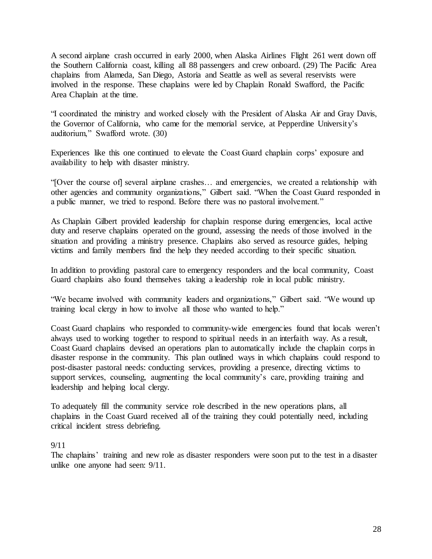A second airplane crash occurred in early 2000, when Alaska Airlines Flight 261 went down off the Southern California coast, killing all 88 passengers and crew onboard. (29) The Pacific Area chaplains from Alameda, San Diego, Astoria and Seattle as well as several reservists were involved in the response. These chaplains were led by Chaplain Ronald Swafford, the Pacific Area Chaplain at the time.

"I coordinated the ministry and worked closely with the President of Alaska Air and Gray Davis, the Governor of California, who came for the memorial service, at Pepperdine University's auditorium," Swafford wrote. (30)

Experiences like this one continued to elevate the Coast Guard chaplain corps' exposure and availability to help with disaster ministry.

"[Over the course of] several airplane crashes… and emergencies, we created a relationship with other agencies and community organizations," Gilbert said. "When the Coast Guard responded in a public manner, we tried to respond. Before there was no pastoral involvement."

As Chaplain Gilbert provided leadership for chaplain response during emergencies, local active duty and reserve chaplains operated on the ground, assessing the needs of those involved in the situation and providing a ministry presence. Chaplains also served as resource guides, helping victims and family members find the help they needed according to their specific situation.

In addition to providing pastoral care to emergency responders and the local community, Coast Guard chaplains also found themselves taking a leadership role in local public ministry.

"We became involved with community leaders and organizations," Gilbert said. "We wound up training local clergy in how to involve all those who wanted to help."

Coast Guard chaplains who responded to community-wide emergencies found that locals weren't always used to working together to respond to spiritual needs in an interfaith way. As a result, Coast Guard chaplains devised an operations plan to automatically include the chaplain corps in disaster response in the community. This plan outlined ways in which chaplains could respond to post-disaster pastoral needs: conducting services, providing a presence, directing victims to support services, counseling, augmenting the local community's care, providing training and leadership and helping local clergy.

To adequately fill the community service role described in the new operations plans, all chaplains in the Coast Guard received all of the training they could potentially need, including critical incident stress debriefing.

#### 9/11

The chaplains' training and new role as disaster responders were soon put to the test in a disaster unlike one anyone had seen: 9/11.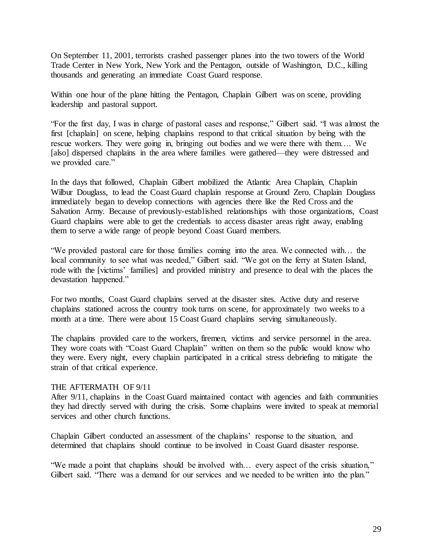On September 11, 2001, terrorists crashed passenger planes into the two towers of the World Trade Center in New York, New York and the Pentagon, outside of Washington, D.C., killing thousands and generating an immediate Coast Guard response.

Within one hour of the plane hitting the Pentagon, Chaplain Gilbert was on scene, providing leadership and pastoral support.

"For the first day, I was in charge of pastoral cases and response," Gilbert said. "I was almost the first [chaplain] on scene, helping chaplains respond to that critical situation by being with the rescue workers. They were going in, bringing out bodies and we were there with them.... We [also] dispersed chaplains in the area where families were gathered—they were distressed and we provided care."

In the days that followed, Chaplain Gilbert mobilized the Atlantic Area Chaplain, Chaplain Wilbur Douglass, to lead the Coast Guard chaplain response at Ground Zero. Chaplain Douglass immediately began to develop connections with agencies there like the Red Cross and the Salvation Army. Because of previously-established relationships with those organizations, Coast Guard chaplains were able to get the credentials to access disaster areas right away, enabling them to serve a wide range of people beyond Coast Guard members.

"We provided pastoral care for those families coming into the area. We connected with… the local community to see what was needed," Gilbert said. "We got on the ferry at Staten Island, rode with the [victims' families] and provided ministry and presence to deal with the places the devastation happened."

For two months, Coast Guard chaplains served at the disaster sites. Active duty and reserve chaplains stationed across the country took turns on scene, for approximately two weeks to a month at a time. There were about 15 Coast Guard chaplains serving simultaneously.

The chaplains provided care to the workers, firemen, victims and service personnel in the area. They wore coats with "Coast Guard Chaplain" written on them so the public would know who they were. Every night, every chaplain participated in a critical stress debriefing to mitigate the strain of that critical experience.

#### THE AFTERMATH OF 9/11

After 9/11, chaplains in the Coast Guard maintained contact with agencies and faith communities they had directly served with during the crisis. Some chaplains were invited to speak at memorial services and other church functions.

Chaplain Gilbert conducted an assessment of the chaplains' response to the situation, and determined that chaplains should continue to be involved in Coast Guard disaster response.

"We made a point that chaplains should be involved with… every aspect of the crisis situation," Gilbert said. "There was a demand for our services and we needed to be written into the plan."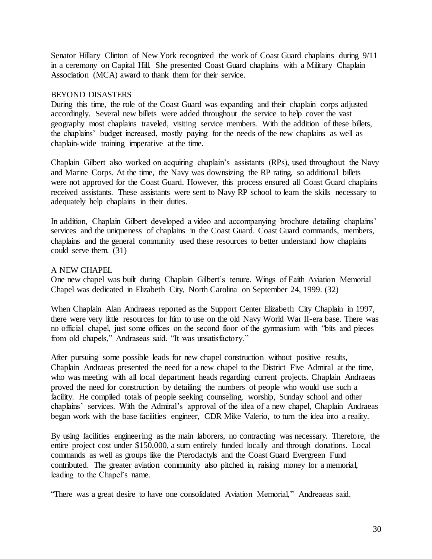Senator Hillary Clinton of New York recognized the work of Coast Guard chaplains during 9/11 in a ceremony on Capital Hill. She presented Coast Guard chaplains with a Military Chaplain Association (MCA) award to thank them for their service.

## BEYOND DISASTERS

During this time, the role of the Coast Guard was expanding and their chaplain corps adjusted accordingly. Several new billets were added throughout the service to help cover the vast geography most chaplains traveled, visiting service members. With the addition of these billets, the chaplains' budget increased, mostly paying for the needs of the new chaplains as well as chaplain-wide training imperative at the time.

Chaplain Gilbert also worked on acquiring chaplain's assistants (RPs), used throughout the Navy and Marine Corps. At the time, the Navy was downsizing the RP rating, so additional billets were not approved for the Coast Guard. However, this process ensured all Coast Guard chaplains received assistants. These assistants were sent to Navy RP school to learn the skills necessary to adequately help chaplains in their duties.

In addition, Chaplain Gilbert developed a video and accompanying brochure detailing chaplains' services and the uniqueness of chaplains in the Coast Guard. Coast Guard commands, members, chaplains and the general community used these resources to better understand how chaplains could serve them. (31)

# A NEW CHAPEL

One new chapel was built during Chaplain Gilbert's tenure. Wings of Faith Aviation Memorial Chapel was dedicated in Elizabeth City, North Carolina on September 24, 1999. (32)

When Chaplain Alan Andraeas reported as the Support Center Elizabeth City Chaplain in 1997, there were very little resources for him to use on the old Navy World War II-era base. There was no official chapel, just some offices on the second floor of the gymnasium with "bits and pieces from old chapels," Andraseas said. "It was unsatisfactory."

After pursuing some possible leads for new chapel construction without positive results, Chaplain Andraeas presented the need for a new chapel to the District Five Admiral at the time, who was meeting with all local department heads regarding current projects. Chaplain Andraeas proved the need for construction by detailing the numbers of people who would use such a facility. He compiled totals of people seeking counseling, worship, Sunday school and other chaplains' services. With the Admiral's approval of the idea of a new chapel, Chaplain Andraeas began work with the base facilities engineer, CDR Mike Valerio, to turn the idea into a reality.

By using facilities engineering as the main laborers, no contracting was necessary. Therefore, the entire project cost under \$150,000, a sum entirely funded locally and through donations. Local commands as well as groups like the Pterodactyls and the Coast Guard Evergreen Fund contributed. The greater aviation community also pitched in, raising money for a memorial, leading to the Chapel's name.

"There was a great desire to have one consolidated Aviation Memorial," Andreaeas said.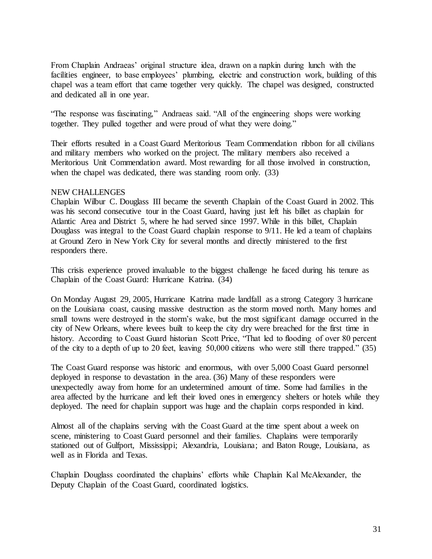From Chaplain Andraeas' original structure idea, drawn on a napkin during lunch with the facilities engineer, to base employees' plumbing, electric and construction work, building of this chapel was a team effort that came together very quickly. The chapel was designed, constructed and dedicated all in one year.

"The response was fascinating," Andraeas said. "All of the engineering shops were working together. They pulled together and were proud of what they were doing."

Their efforts resulted in a Coast Guard Meritorious Team Commendation ribbon for all civilians and military members who worked on the project. The military members also received a Meritorious Unit Commendation award. Most rewarding for all those involved in construction, when the chapel was dedicated, there was standing room only. (33)

## NEW CHALLENGES

Chaplain Wilbur C. Douglass III became the seventh Chaplain of the Coast Guard in 2002. This was his second consecutive tour in the Coast Guard, having just left his billet as chaplain for Atlantic Area and District 5, where he had served since 1997. While in this billet, Chaplain Douglass was integral to the Coast Guard chaplain response to 9/11. He led a team of chaplains at Ground Zero in New York City for several months and directly ministered to the first responders there.

This crisis experience proved invaluable to the biggest challenge he faced during his tenure as Chaplain of the Coast Guard: Hurricane Katrina. (34)

On Monday August 29, 2005, Hurricane Katrina made landfall as a strong Category 3 hurricane on the Louisiana coast, causing massive destruction as the storm moved north. Many homes and small towns were destroyed in the storm's wake, but the most significant damage occurred in the city of New Orleans, where levees built to keep the city dry were breached for the first time in history. According to Coast Guard historian Scott Price, "That led to flooding of over 80 percent of the city to a depth of up to 20 feet, leaving 50,000 citizens who were still there trapped." (35)

The Coast Guard response was historic and enormous, with over 5,000 Coast Guard personnel deployed in response to devastation in the area. (36) Many of these responders were unexpectedly away from home for an undetermined amount of time. Some had families in the area affected by the hurricane and left their loved ones in emergency shelters or hotels while they deployed. The need for chaplain support was huge and the chaplain corps responded in kind.

Almost all of the chaplains serving with the Coast Guard at the time spent about a week on scene, ministering to Coast Guard personnel and their families. Chaplains were temporarily stationed out of Gulfport, Mississippi; Alexandria, Louisiana; and Baton Rouge, Louisiana, as well as in Florida and Texas.

Chaplain Douglass coordinated the chaplains' efforts while Chaplain Kal McAlexander, the Deputy Chaplain of the Coast Guard, coordinated logistics.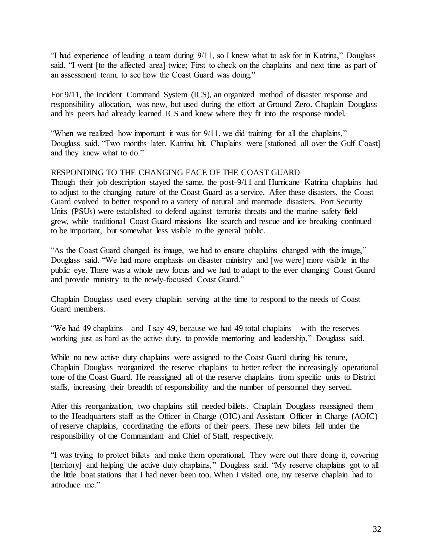"I had experience of leading a team during 9/11, so I knew what to ask for in Katrina," Douglass said. "I went [to the affected area] twice; First to check on the chaplains and next time as part of an assessment team, to see how the Coast Guard was doing."

For 9/11, the Incident Command System (ICS), an organized method of disaster response and responsibility allocation, was new, but used during the effort at Ground Zero. Chaplain Douglass and his peers had already learned ICS and knew where they fit into the response model.

"When we realized how important it was for 9/11, we did training for all the chaplains," Douglass said. "Two months later, Katrina hit. Chaplains were [stationed all over the Gulf Coast] and they knew what to do."

# RESPONDING TO THE CHANGING FACE OF THE COAST GUARD

Though their job description stayed the same, the post-9/11 and Hurricane Katrina chaplains had to adjust to the changing nature of the Coast Guard as a service. After these disasters, the Coast Guard evolved to better respond to a variety of natural and manmade disasters. Port Security Units (PSUs) were established to defend against terrorist threats and the marine safety field grew, while traditional Coast Guard missions like search and rescue and ice breaking continued to be important, but somewhat less visible to the general public.

"As the Coast Guard changed its image, we had to ensure chaplains changed with the image," Douglass said. "We had more emphasis on disaster ministry and [we were] more visible in the public eye. There was a whole new focus and we had to adapt to the ever changing Coast Guard and provide ministry to the newly-focused Coast Guard."

Chaplain Douglass used every chaplain serving at the time to respond to the needs of Coast Guard members.

"We had 49 chaplains—and I say 49, because we had 49 total chaplains—with the reserves working just as hard as the active duty, to provide mentoring and leadership," Douglass said.

While no new active duty chaplains were assigned to the Coast Guard during his tenure, Chaplain Douglass reorganized the reserve chaplains to better reflect the increasingly operational tone of the Coast Guard. He reassigned all of the reserve chaplains from specific units to District staffs, increasing their breadth of responsibility and the number of personnel they served.

After this reorganization, two chaplains still needed billets. Chaplain Douglass reassigned them to the Headquarters staff as the Officer in Charge (OIC) and Assistant Officer in Charge (AOIC) of reserve chaplains, coordinating the efforts of their peers. These new billets fell under the responsibility of the Commandant and Chief of Staff, respectively.

"I was trying to protect billets and make them operational. They were out there doing it, covering [territory] and helping the active duty chaplains," Douglass said. "My reserve chaplains got to all the little boat stations that I had never been too. When I visited one, my reserve chaplain had to introduce me."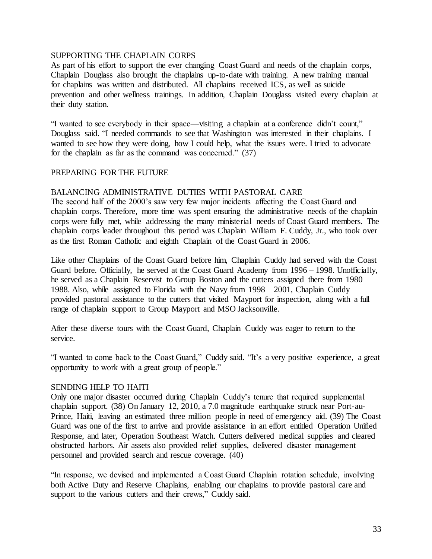# SUPPORTING THE CHAPLAIN CORPS

As part of his effort to support the ever changing Coast Guard and needs of the chaplain corps, Chaplain Douglass also brought the chaplains up-to-date with training. A new training manual for chaplains was written and distributed. All chaplains received ICS, as well as suicide prevention and other wellness trainings. In addition, Chaplain Douglass visited every chaplain at their duty station.

"I wanted to see everybody in their space—visiting a chaplain at a conference didn't count," Douglass said. "I needed commands to see that Washington was interested in their chaplains. I wanted to see how they were doing, how I could help, what the issues were. I tried to advocate for the chaplain as far as the command was concerned." (37)

## PREPARING FOR THE FUTURE

## BALANCING ADMINISTRATIVE DUTIES WITH PASTORAL CARE

The second half of the 2000's saw very few major incidents affecting the Coast Guard and chaplain corps. Therefore, more time was spent ensuring the administrative needs of the chaplain corps were fully met, while addressing the many ministerial needs of Coast Guard members. The chaplain corps leader throughout this period was Chaplain William F. Cuddy, Jr., who took over as the first Roman Catholic and eighth Chaplain of the Coast Guard in 2006.

Like other Chaplains of the Coast Guard before him, Chaplain Cuddy had served with the Coast Guard before. Officially, he served at the Coast Guard Academy from 1996 – 1998. Unofficially, he served as a Chaplain Reservist to Group Boston and the cutters assigned there from 1980 – 1988. Also, while assigned to Florida with the Navy from 1998 – 2001, Chaplain Cuddy provided pastoral assistance to the cutters that visited Mayport for inspection, along with a full range of chaplain support to Group Mayport and MSO Jacksonville.

After these diverse tours with the Coast Guard, Chaplain Cuddy was eager to return to the service.

"I wanted to come back to the Coast Guard," Cuddy said. "It's a very positive experience, a great opportunity to work with a great group of people."

#### SENDING HELP TO HAITI

Only one major disaster occurred during Chaplain Cuddy's tenure that required supplemental chaplain support. (38) On January 12, 2010, a 7.0 magnitude earthquake struck near Port-au-Prince, Haiti, leaving an estimated three million people in need of emergency aid. (39) The Coast Guard was one of the first to arrive and provide assistance in an effort entitled Operation Unified Response, and later, Operation Southeast Watch. Cutters delivered medical supplies and cleared obstructed harbors. Air assets also provided relief supplies, delivered disaster management personnel and provided search and rescue coverage. (40)

"In response, we devised and implemented a Coast Guard Chaplain rotation schedule, involving both Active Duty and Reserve Chaplains, enabling our chaplains to provide pastoral care and support to the various cutters and their crews," Cuddy said.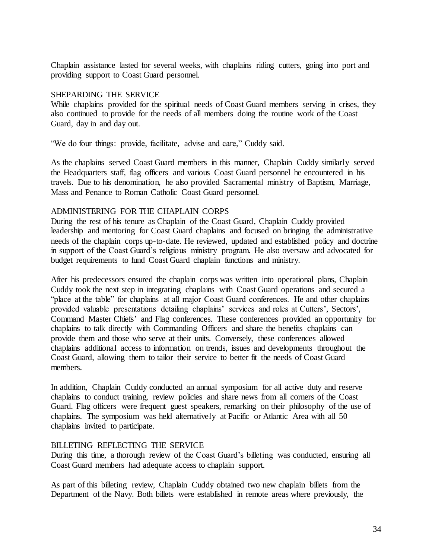Chaplain assistance lasted for several weeks, with chaplains riding cutters, going into port and providing support to Coast Guard personnel.

# SHEPARDING THE SERVICE

While chaplains provided for the spiritual needs of Coast Guard members serving in crises, they also continued to provide for the needs of all members doing the routine work of the Coast Guard, day in and day out.

"We do four things: provide, facilitate, advise and care," Cuddy said.

As the chaplains served Coast Guard members in this manner, Chaplain Cuddy similarly served the Headquarters staff, flag officers and various Coast Guard personnel he encountered in his travels. Due to his denomination, he also provided Sacramental ministry of Baptism, Marriage, Mass and Penance to Roman Catholic Coast Guard personnel.

# ADMINISTERING FOR THE CHAPLAIN CORPS

During the rest of his tenure as Chaplain of the Coast Guard, Chaplain Cuddy provided leadership and mentoring for Coast Guard chaplains and focused on bringing the administrative needs of the chaplain corps up-to-date. He reviewed, updated and established policy and doctrine in support of the Coast Guard's religious ministry program. He also oversaw and advocated for budget requirements to fund Coast Guard chaplain functions and ministry.

After his predecessors ensured the chaplain corps was written into operational plans, Chaplain Cuddy took the next step in integrating chaplains with Coast Guard operations and secured a "place at the table" for chaplains at all major Coast Guard conferences. He and other chaplains provided valuable presentations detailing chaplains' services and roles at Cutters', Sectors', Command Master Chiefs' and Flag conferences. These conferences provided an opportunity for chaplains to talk directly with Commanding Officers and share the benefits chaplains can provide them and those who serve at their units. Conversely, these conferences allowed chaplains additional access to information on trends, issues and developments throughout the Coast Guard, allowing them to tailor their service to better fit the needs of Coast Guard members.

In addition, Chaplain Cuddy conducted an annual symposium for all active duty and reserve chaplains to conduct training, review policies and share news from all corners of the Coast Guard. Flag officers were frequent guest speakers, remarking on their philosophy of the use of chaplains. The symposium was held alternatively at Pacific or Atlantic Area with all 50 chaplains invited to participate.

#### BILLETING REFLECTING THE SERVICE

During this time, a thorough review of the Coast Guard's billeting was conducted, ensuring all Coast Guard members had adequate access to chaplain support.

As part of this billeting review, Chaplain Cuddy obtained two new chaplain billets from the Department of the Navy. Both billets were established in remote areas where previously, the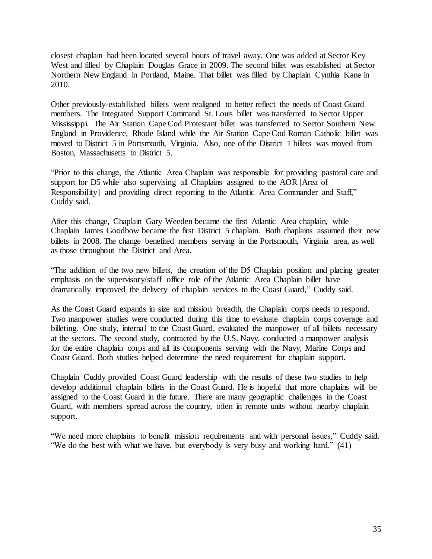closest chaplain had been located several hours of travel away. One was added at Sector Key West and filled by Chaplain Douglas Grace in 2009. The second billet was established at Sector Northern New England in Portland, Maine. That billet was filled by Chaplain Cynthia Kane in 2010.

Other previously-established billets were realigned to better reflect the needs of Coast Guard members. The Integrated Support Command St. Louis billet was transferred to Sector Upper Mississippi. The Air Station Cape Cod Protestant billet was transferred to Sector Southern New England in Providence, Rhode Island while the Air Station Cape Cod Roman Catholic billet was moved to District 5 in Portsmouth, Virginia. Also, one of the District 1 billets was moved from Boston, Massachusetts to District 5.

"Prior to this change, the Atlantic Area Chaplain was responsible for providing pastoral care and support for D5 while also supervising all Chaplains assigned to the AOR [Area of Responsibility] and providing direct reporting to the Atlantic Area Commander and Staff," Cuddy said.

After this change, Chaplain Gary Weeden became the first Atlantic Area chaplain, while Chaplain James Goodbow became the first District 5 chaplain. Both chaplains assumed their new billets in 2008. The change benefited members serving in the Portsmouth, Virginia area, as well as those throughout the District and Area.

"The addition of the two new billets, the creation of the D5 Chaplain position and placing greater emphasis on the supervisory/staff office role of the Atlantic Area Chaplain billet have dramatically improved the delivery of chaplain services to the Coast Guard," Cuddy said.

As the Coast Guard expands in size and mission breadth, the Chaplain corps needs to respond. Two manpower studies were conducted during this time to evaluate chaplain corps coverage and billeting. One study, internal to the Coast Guard, evaluated the manpower of all billets necessary at the sectors. The second study, contracted by the U.S. Navy, conducted a manpower analysis for the entire chaplain corps and all its components serving with the Navy, Marine Corps and Coast Guard. Both studies helped determine the need requirement for chaplain support.

Chaplain Cuddy provided Coast Guard leadership with the results of these two studies to help develop additional chaplain billets in the Coast Guard. He is hopeful that more chaplains will be assigned to the Coast Guard in the future. There are many geographic challenges in the Coast Guard, with members spread across the country, often in remote units without nearby chaplain support.

"We need more chaplains to benefit mission requirements and with personal issues," Cuddy said. "We do the best with what we have, but everybody is very busy and working hard." (41)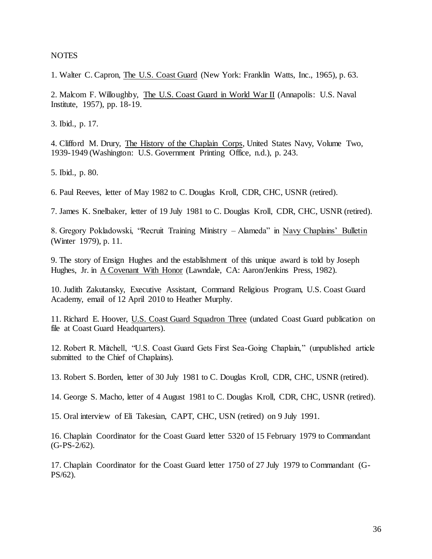**NOTES** 

1. Walter C. Capron, The U.S. Coast Guard (New York: Franklin Watts, Inc., 1965), p. 63.

2. Malcom F. Willoughby, The U.S. Coast Guard in World War II (Annapolis: U.S. Naval Institute, 1957), pp. 18-19.

3. Ibid., p. 17.

4. Clifford M. Drury, The History of the Chaplain Corps, United States Navy, Volume Two, 1939-1949 (Washington: U.S. Government Printing Office, n.d.), p. 243.

5. Ibid., p. 80.

6. Paul Reeves, letter of May 1982 to C. Douglas Kroll, CDR, CHC, USNR (retired).

7. James K. Snelbaker, letter of 19 July 1981 to C. Douglas Kroll, CDR, CHC, USNR (retired).

8. Gregory Pokladowski, "Recruit Training Ministry – Alameda" in Navy Chaplains' Bulletin (Winter 1979), p. 11.

9. The story of Ensign Hughes and the establishment of this unique award is told by Joseph Hughes, Jr. in A Covenant With Honor (Lawndale, CA: Aaron/Jenkins Press, 1982).

10. Judith Zakutansky, Executive Assistant, Command Religious Program, U.S. Coast Guard Academy, email of 12 April 2010 to Heather Murphy.

11. Richard E. Hoover, U.S. Coast Guard Squadron Three (undated Coast Guard publication on file at Coast Guard Headquarters).

12. Robert R. Mitchell, "U.S. Coast Guard Gets First Sea-Going Chaplain," (unpublished article submitted to the Chief of Chaplains).

13. Robert S. Borden, letter of 30 July 1981 to C. Douglas Kroll, CDR, CHC, USNR (retired).

14. George S. Macho, letter of 4 August 1981 to C. Douglas Kroll, CDR, CHC, USNR (retired).

15. Oral interview of Eli Takesian, CAPT, CHC, USN (retired) on 9 July 1991.

16. Chaplain Coordinator for the Coast Guard letter 5320 of 15 February 1979 to Commandant (G-PS-2/62).

17. Chaplain Coordinator for the Coast Guard letter 1750 of 27 July 1979 to Commandant (G-PS/62).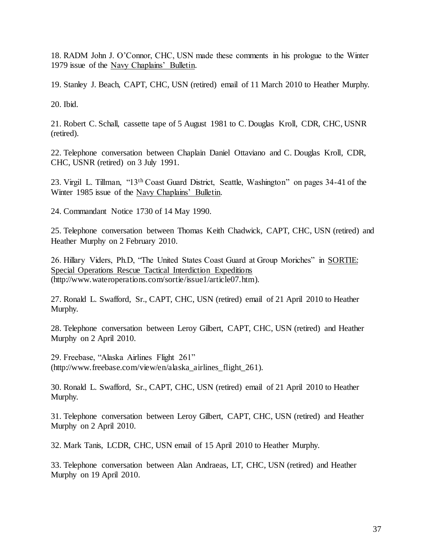18. RADM John J. O'Connor, CHC, USN made these comments in his prologue to the Winter 1979 issue of the Navy Chaplains' Bulletin.

19. Stanley J. Beach, CAPT, CHC, USN (retired) email of 11 March 2010 to Heather Murphy.

20. Ibid.

21. Robert C. Schall, cassette tape of 5 August 1981 to C. Douglas Kroll, CDR, CHC, USNR (retired).

22. Telephone conversation between Chaplain Daniel Ottaviano and C. Douglas Kroll, CDR, CHC, USNR (retired) on 3 July 1991.

23. Virgil L. Tillman, "13th Coast Guard District, Seattle, Washington" on pages 34-41 of the Winter 1985 issue of the Navy Chaplains' Bulletin.

24. Commandant Notice 1730 of 14 May 1990.

25. Telephone conversation between Thomas Keith Chadwick, CAPT, CHC, USN (retired) and Heather Murphy on 2 February 2010.

26. Hillary Viders, Ph.D, "The United States Coast Guard at Group Moriches" in SORTIE: Special Operations Rescue Tactical Interdiction Expeditions [\(http://www.wateroperations.com/sortie/issue1/article07.htm\).](http://www.wateroperations.com/sortie/issue1/article07.htm)

27. Ronald L. Swafford, Sr., CAPT, CHC, USN (retired) email of 21 April 2010 to Heather Murphy.

28. Telephone conversation between Leroy Gilbert, CAPT, CHC, USN (retired) and Heather Murphy on 2 April 2010.

29. Freebase, "Alaska Airlines Flight 261" [\(http://www.freebase.com/view/en/alaska\\_airlines\\_flight\\_261\).](http://www.freebase.com/view/en/alaska_airlines_flight_261)

30. Ronald L. Swafford, Sr., CAPT, CHC, USN (retired) email of 21 April 2010 to Heather Murphy.

31. Telephone conversation between Leroy Gilbert, CAPT, CHC, USN (retired) and Heather Murphy on 2 April 2010.

32. Mark Tanis, LCDR, CHC, USN email of 15 April 2010 to Heather Murphy.

33. Telephone conversation between Alan Andraeas, LT, CHC, USN (retired) and Heather Murphy on 19 April 2010.